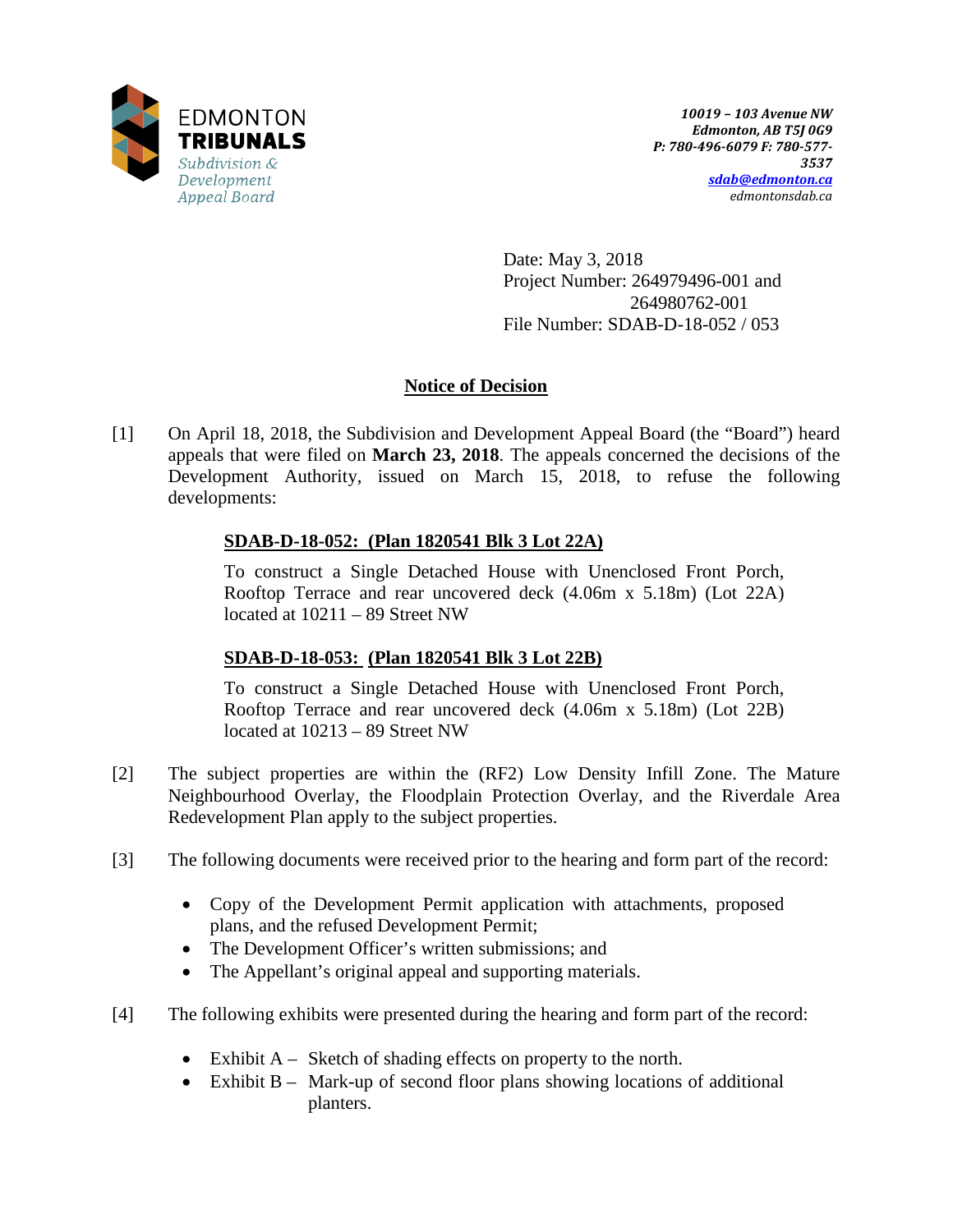

Date: May 3, 2018 Project Number: 264979496-001 and 264980762-001 File Number: SDAB-D-18-052 / 053

## **Notice of Decision**

[1] On April 18, 2018, the Subdivision and Development Appeal Board (the "Board") heard appeals that were filed on **March 23, 2018**. The appeals concerned the decisions of the Development Authority, issued on March 15, 2018, to refuse the following developments:

## **SDAB-D-18-052: (Plan 1820541 Blk 3 Lot 22A)**

To construct a Single Detached House with Unenclosed Front Porch, Rooftop Terrace and rear uncovered deck (4.06m x 5.18m) (Lot 22A) located at 10211 – 89 Street NW

## **SDAB-D-18-053: (Plan 1820541 Blk 3 Lot 22B)**

To construct a Single Detached House with Unenclosed Front Porch, Rooftop Terrace and rear uncovered deck (4.06m x 5.18m) (Lot 22B) located at 10213 – 89 Street NW

- [2] The subject properties are within the (RF2) Low Density Infill Zone. The Mature Neighbourhood Overlay, the Floodplain Protection Overlay, and the Riverdale Area Redevelopment Plan apply to the subject properties.
- [3] The following documents were received prior to the hearing and form part of the record:
	- Copy of the Development Permit application with attachments, proposed plans, and the refused Development Permit;
	- The Development Officer's written submissions; and
	- The Appellant's original appeal and supporting materials.
- [4] The following exhibits were presented during the hearing and form part of the record:
	- Exhibit A Sketch of shading effects on property to the north.
	- Exhibit B Mark-up of second floor plans showing locations of additional planters.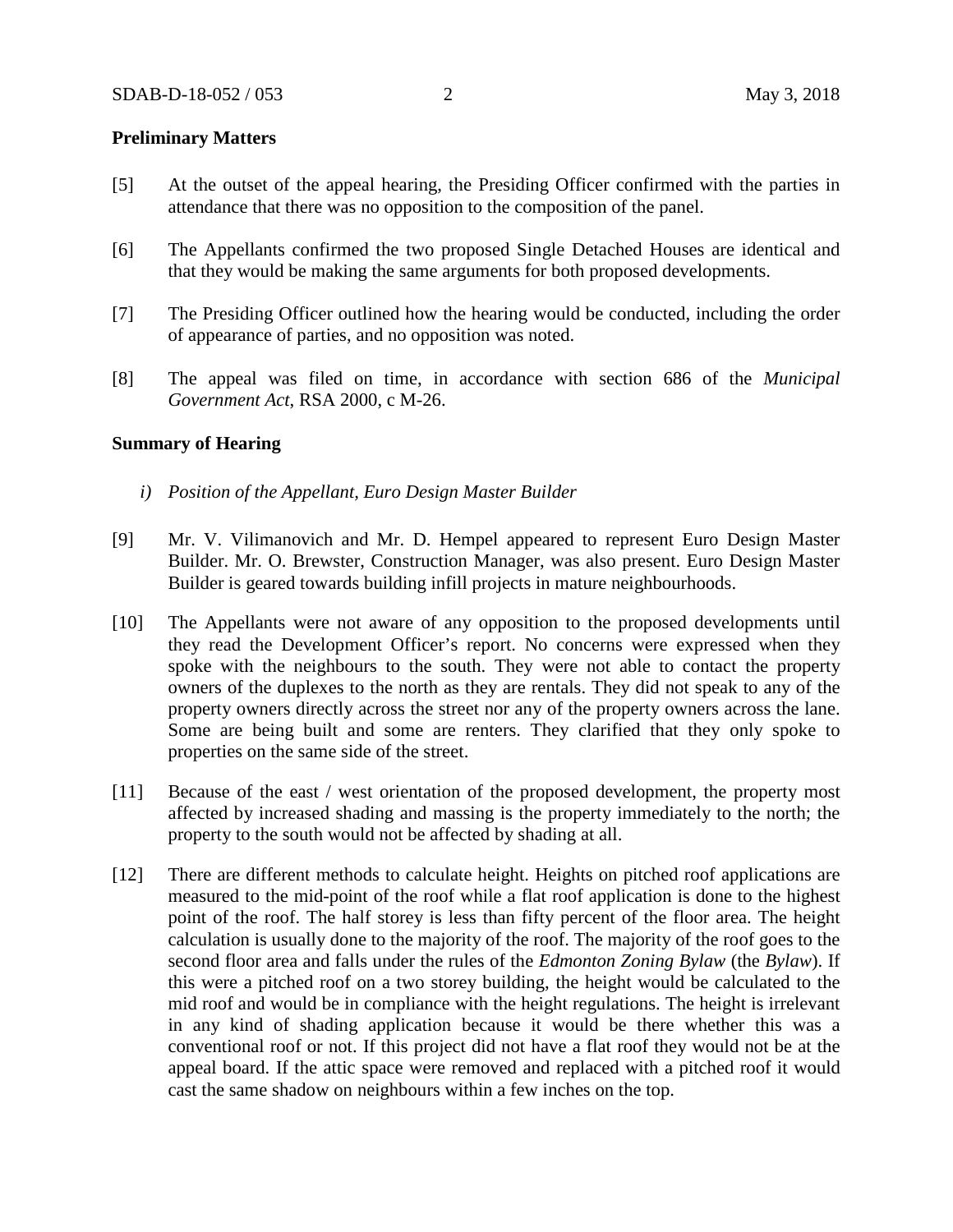### **Preliminary Matters**

- [5] At the outset of the appeal hearing, the Presiding Officer confirmed with the parties in attendance that there was no opposition to the composition of the panel.
- [6] The Appellants confirmed the two proposed Single Detached Houses are identical and that they would be making the same arguments for both proposed developments.
- [7] The Presiding Officer outlined how the hearing would be conducted, including the order of appearance of parties, and no opposition was noted.
- [8] The appeal was filed on time, in accordance with section 686 of the *Municipal Government Act*, RSA 2000, c M-26.

#### **Summary of Hearing**

- *i) Position of the Appellant, Euro Design Master Builder*
- [9] Mr. V. Vilimanovich and Mr. D. Hempel appeared to represent Euro Design Master Builder. Mr. O. Brewster, Construction Manager, was also present. Euro Design Master Builder is geared towards building infill projects in mature neighbourhoods.
- [10] The Appellants were not aware of any opposition to the proposed developments until they read the Development Officer's report. No concerns were expressed when they spoke with the neighbours to the south. They were not able to contact the property owners of the duplexes to the north as they are rentals. They did not speak to any of the property owners directly across the street nor any of the property owners across the lane. Some are being built and some are renters. They clarified that they only spoke to properties on the same side of the street.
- [11] Because of the east / west orientation of the proposed development, the property most affected by increased shading and massing is the property immediately to the north; the property to the south would not be affected by shading at all.
- [12] There are different methods to calculate height. Heights on pitched roof applications are measured to the mid-point of the roof while a flat roof application is done to the highest point of the roof. The half storey is less than fifty percent of the floor area. The height calculation is usually done to the majority of the roof. The majority of the roof goes to the second floor area and falls under the rules of the *Edmonton Zoning Bylaw* (the *Bylaw*). If this were a pitched roof on a two storey building, the height would be calculated to the mid roof and would be in compliance with the height regulations. The height is irrelevant in any kind of shading application because it would be there whether this was a conventional roof or not. If this project did not have a flat roof they would not be at the appeal board. If the attic space were removed and replaced with a pitched roof it would cast the same shadow on neighbours within a few inches on the top.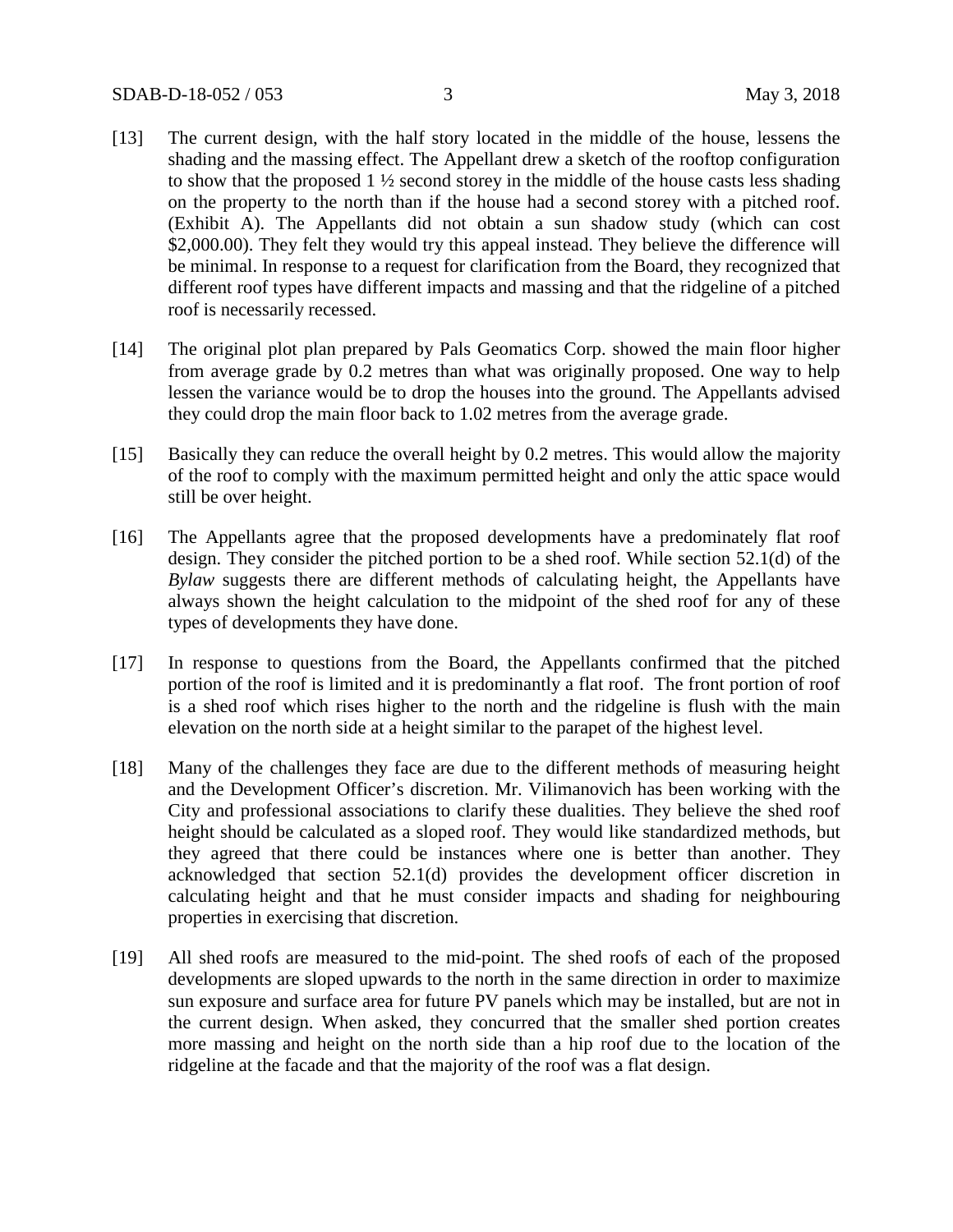- [13] The current design, with the half story located in the middle of the house, lessens the shading and the massing effect. The Appellant drew a sketch of the rooftop configuration to show that the proposed 1 ½ second storey in the middle of the house casts less shading on the property to the north than if the house had a second storey with a pitched roof. (Exhibit A). The Appellants did not obtain a sun shadow study (which can cost \$2,000.00). They felt they would try this appeal instead. They believe the difference will be minimal. In response to a request for clarification from the Board, they recognized that different roof types have different impacts and massing and that the ridgeline of a pitched roof is necessarily recessed.
- [14] The original plot plan prepared by Pals Geomatics Corp. showed the main floor higher from average grade by 0.2 metres than what was originally proposed. One way to help lessen the variance would be to drop the houses into the ground. The Appellants advised they could drop the main floor back to 1.02 metres from the average grade.
- [15] Basically they can reduce the overall height by 0.2 metres. This would allow the majority of the roof to comply with the maximum permitted height and only the attic space would still be over height.
- [16] The Appellants agree that the proposed developments have a predominately flat roof design. They consider the pitched portion to be a shed roof. While section 52.1(d) of the *Bylaw* suggests there are different methods of calculating height, the Appellants have always shown the height calculation to the midpoint of the shed roof for any of these types of developments they have done.
- [17] In response to questions from the Board, the Appellants confirmed that the pitched portion of the roof is limited and it is predominantly a flat roof. The front portion of roof is a shed roof which rises higher to the north and the ridgeline is flush with the main elevation on the north side at a height similar to the parapet of the highest level.
- [18] Many of the challenges they face are due to the different methods of measuring height and the Development Officer's discretion. Mr. Vilimanovich has been working with the City and professional associations to clarify these dualities. They believe the shed roof height should be calculated as a sloped roof. They would like standardized methods, but they agreed that there could be instances where one is better than another. They acknowledged that section 52.1(d) provides the development officer discretion in calculating height and that he must consider impacts and shading for neighbouring properties in exercising that discretion.
- [19] All shed roofs are measured to the mid-point. The shed roofs of each of the proposed developments are sloped upwards to the north in the same direction in order to maximize sun exposure and surface area for future PV panels which may be installed, but are not in the current design. When asked, they concurred that the smaller shed portion creates more massing and height on the north side than a hip roof due to the location of the ridgeline at the facade and that the majority of the roof was a flat design.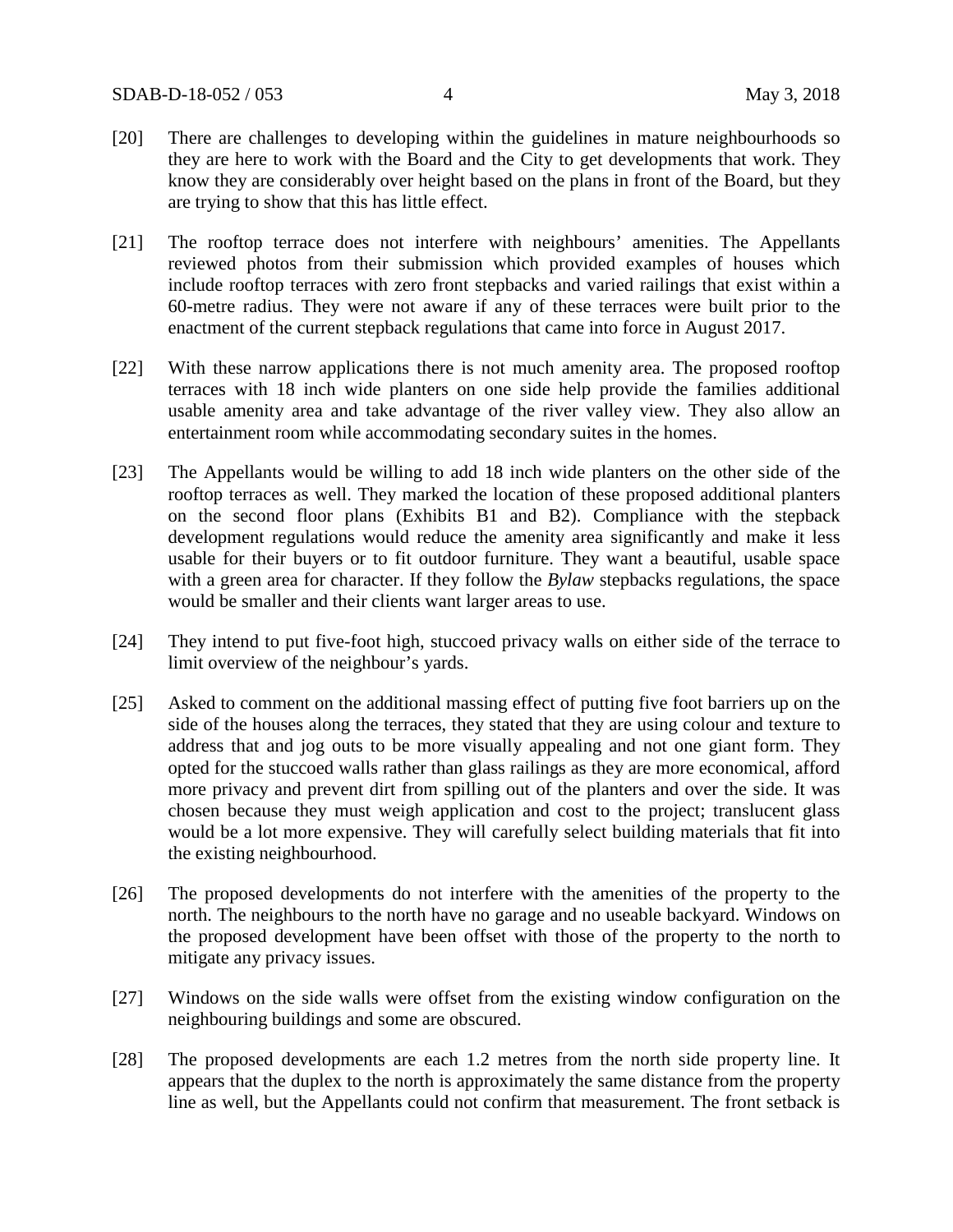- [20] There are challenges to developing within the guidelines in mature neighbourhoods so they are here to work with the Board and the City to get developments that work. They know they are considerably over height based on the plans in front of the Board, but they are trying to show that this has little effect.
- [21] The rooftop terrace does not interfere with neighbours' amenities. The Appellants reviewed photos from their submission which provided examples of houses which include rooftop terraces with zero front stepbacks and varied railings that exist within a 60-metre radius. They were not aware if any of these terraces were built prior to the enactment of the current stepback regulations that came into force in August 2017.
- [22] With these narrow applications there is not much amenity area. The proposed rooftop terraces with 18 inch wide planters on one side help provide the families additional usable amenity area and take advantage of the river valley view. They also allow an entertainment room while accommodating secondary suites in the homes.
- [23] The Appellants would be willing to add 18 inch wide planters on the other side of the rooftop terraces as well. They marked the location of these proposed additional planters on the second floor plans (Exhibits B1 and B2). Compliance with the stepback development regulations would reduce the amenity area significantly and make it less usable for their buyers or to fit outdoor furniture. They want a beautiful, usable space with a green area for character. If they follow the *Bylaw* stepbacks regulations, the space would be smaller and their clients want larger areas to use.
- [24] They intend to put five-foot high, stuccoed privacy walls on either side of the terrace to limit overview of the neighbour's yards.
- [25] Asked to comment on the additional massing effect of putting five foot barriers up on the side of the houses along the terraces, they stated that they are using colour and texture to address that and jog outs to be more visually appealing and not one giant form. They opted for the stuccoed walls rather than glass railings as they are more economical, afford more privacy and prevent dirt from spilling out of the planters and over the side. It was chosen because they must weigh application and cost to the project; translucent glass would be a lot more expensive. They will carefully select building materials that fit into the existing neighbourhood.
- [26] The proposed developments do not interfere with the amenities of the property to the north. The neighbours to the north have no garage and no useable backyard. Windows on the proposed development have been offset with those of the property to the north to mitigate any privacy issues.
- [27] Windows on the side walls were offset from the existing window configuration on the neighbouring buildings and some are obscured.
- [28] The proposed developments are each 1.2 metres from the north side property line. It appears that the duplex to the north is approximately the same distance from the property line as well, but the Appellants could not confirm that measurement. The front setback is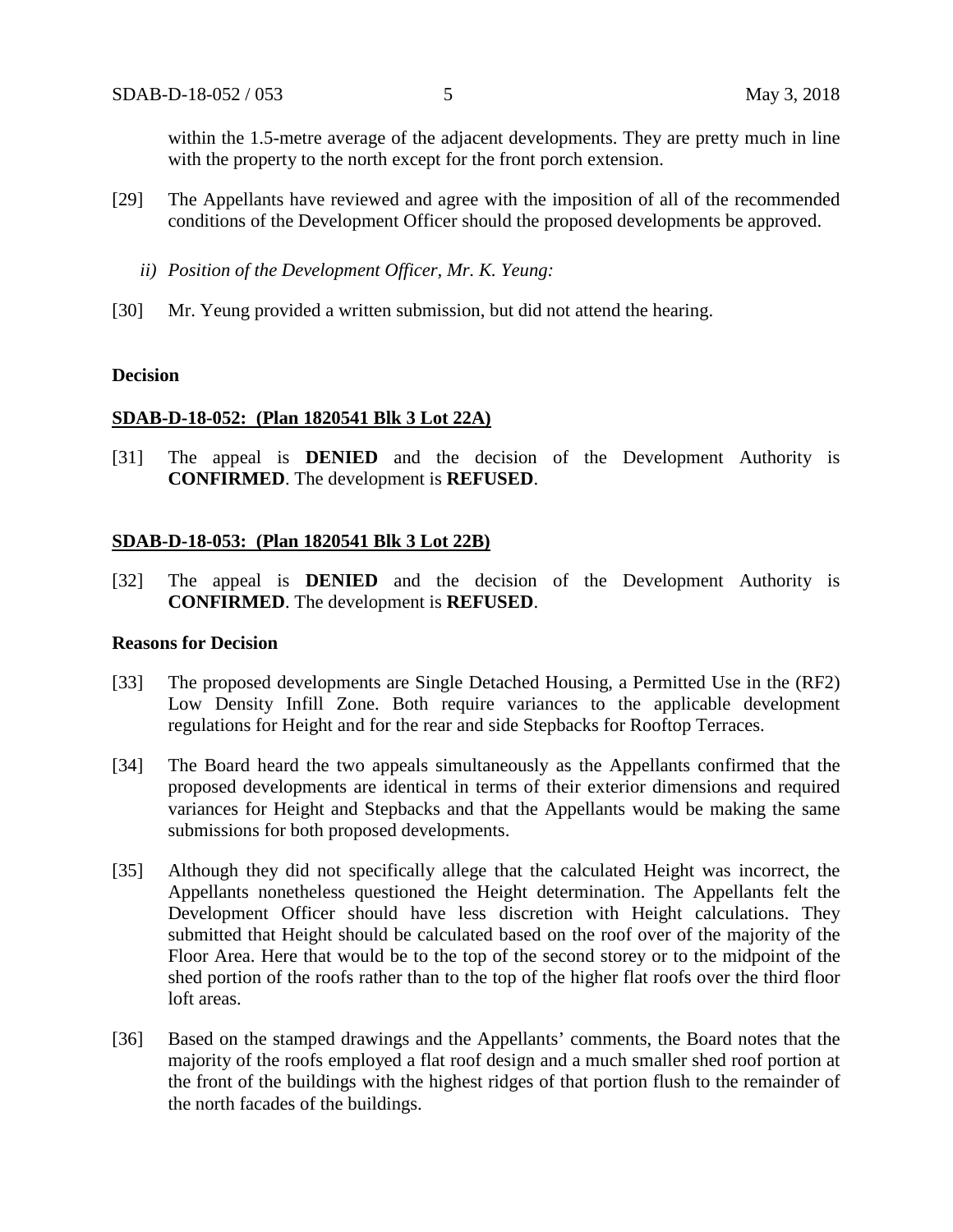within the 1.5-metre average of the adjacent developments. They are pretty much in line with the property to the north except for the front porch extension.

- [29] The Appellants have reviewed and agree with the imposition of all of the recommended conditions of the Development Officer should the proposed developments be approved.
	- *ii) Position of the Development Officer, Mr. K. Yeung:*
- [30] Mr. Yeung provided a written submission, but did not attend the hearing.

#### **Decision**

#### **SDAB-D-18-052: (Plan 1820541 Blk 3 Lot 22A)**

[31] The appeal is **DENIED** and the decision of the Development Authority is **CONFIRMED**. The development is **REFUSED**.

#### **SDAB-D-18-053: (Plan 1820541 Blk 3 Lot 22B)**

[32] The appeal is **DENIED** and the decision of the Development Authority is **CONFIRMED**. The development is **REFUSED**.

### **Reasons for Decision**

- [33] The proposed developments are Single Detached Housing, a Permitted Use in the (RF2) Low Density Infill Zone. Both require variances to the applicable development regulations for Height and for the rear and side Stepbacks for Rooftop Terraces.
- [34] The Board heard the two appeals simultaneously as the Appellants confirmed that the proposed developments are identical in terms of their exterior dimensions and required variances for Height and Stepbacks and that the Appellants would be making the same submissions for both proposed developments.
- [35] Although they did not specifically allege that the calculated Height was incorrect, the Appellants nonetheless questioned the Height determination. The Appellants felt the Development Officer should have less discretion with Height calculations. They submitted that Height should be calculated based on the roof over of the majority of the Floor Area. Here that would be to the top of the second storey or to the midpoint of the shed portion of the roofs rather than to the top of the higher flat roofs over the third floor loft areas.
- [36] Based on the stamped drawings and the Appellants' comments, the Board notes that the majority of the roofs employed a flat roof design and a much smaller shed roof portion at the front of the buildings with the highest ridges of that portion flush to the remainder of the north facades of the buildings.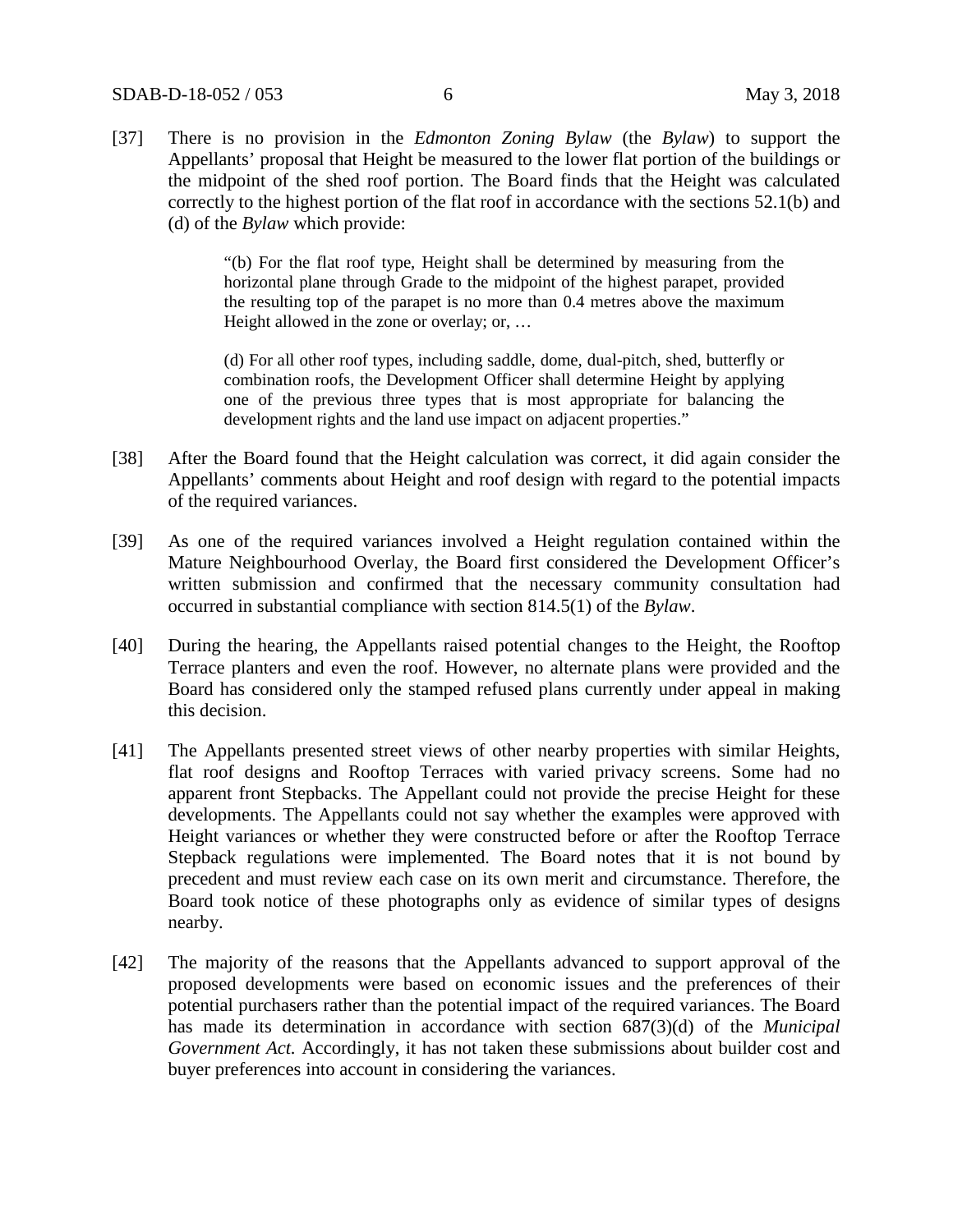[37] There is no provision in the *Edmonton Zoning Bylaw* (the *Bylaw*) to support the Appellants' proposal that Height be measured to the lower flat portion of the buildings or the midpoint of the shed roof portion. The Board finds that the Height was calculated correctly to the highest portion of the flat roof in accordance with the sections 52.1(b) and (d) of the *Bylaw* which provide:

> "(b) For the flat roof type, Height shall be determined by measuring from the horizontal plane through Grade to the midpoint of the highest parapet, provided the resulting top of the parapet is no more than 0.4 metres above the maximum Height allowed in the zone or overlay; or, …

> (d) For all other roof types, including saddle, dome, dual-pitch, shed, butterfly or combination roofs, the Development Officer shall determine Height by applying one of the previous three types that is most appropriate for balancing the development rights and the land use impact on adjacent properties."

- [38] After the Board found that the Height calculation was correct, it did again consider the Appellants' comments about Height and roof design with regard to the potential impacts of the required variances.
- [39] As one of the required variances involved a Height regulation contained within the Mature Neighbourhood Overlay, the Board first considered the Development Officer's written submission and confirmed that the necessary community consultation had occurred in substantial compliance with section 814.5(1) of the *Bylaw*.
- [40] During the hearing, the Appellants raised potential changes to the Height, the Rooftop Terrace planters and even the roof. However, no alternate plans were provided and the Board has considered only the stamped refused plans currently under appeal in making this decision.
- [41] The Appellants presented street views of other nearby properties with similar Heights, flat roof designs and Rooftop Terraces with varied privacy screens. Some had no apparent front Stepbacks. The Appellant could not provide the precise Height for these developments. The Appellants could not say whether the examples were approved with Height variances or whether they were constructed before or after the Rooftop Terrace Stepback regulations were implemented. The Board notes that it is not bound by precedent and must review each case on its own merit and circumstance. Therefore, the Board took notice of these photographs only as evidence of similar types of designs nearby.
- [42] The majority of the reasons that the Appellants advanced to support approval of the proposed developments were based on economic issues and the preferences of their potential purchasers rather than the potential impact of the required variances. The Board has made its determination in accordance with section 687(3)(d) of the *Municipal Government Act.* Accordingly, it has not taken these submissions about builder cost and buyer preferences into account in considering the variances.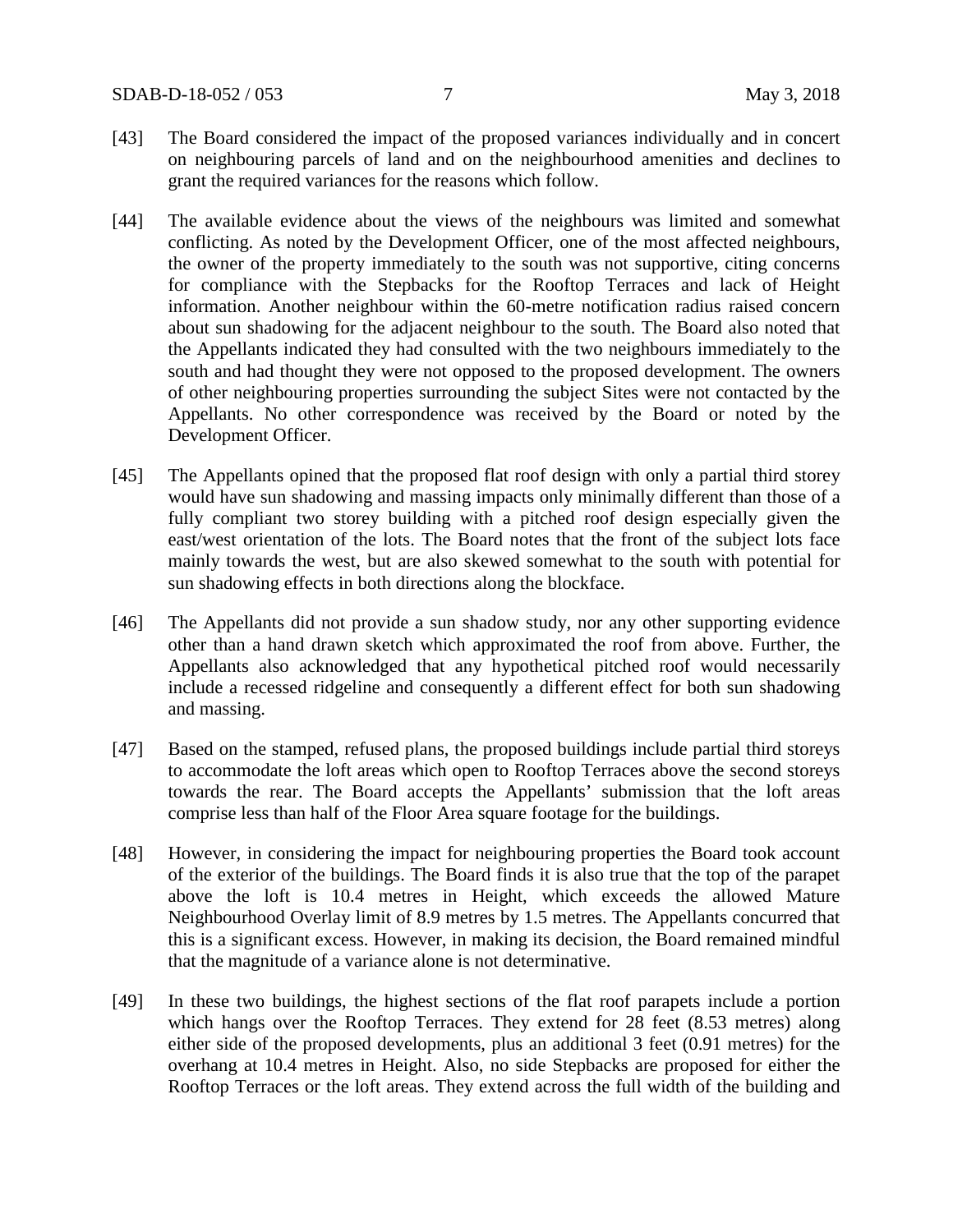- [43] The Board considered the impact of the proposed variances individually and in concert on neighbouring parcels of land and on the neighbourhood amenities and declines to grant the required variances for the reasons which follow.
- [44] The available evidence about the views of the neighbours was limited and somewhat conflicting. As noted by the Development Officer, one of the most affected neighbours, the owner of the property immediately to the south was not supportive, citing concerns for compliance with the Stepbacks for the Rooftop Terraces and lack of Height information. Another neighbour within the 60-metre notification radius raised concern about sun shadowing for the adjacent neighbour to the south. The Board also noted that the Appellants indicated they had consulted with the two neighbours immediately to the south and had thought they were not opposed to the proposed development. The owners of other neighbouring properties surrounding the subject Sites were not contacted by the Appellants. No other correspondence was received by the Board or noted by the Development Officer.
- [45] The Appellants opined that the proposed flat roof design with only a partial third storey would have sun shadowing and massing impacts only minimally different than those of a fully compliant two storey building with a pitched roof design especially given the east/west orientation of the lots. The Board notes that the front of the subject lots face mainly towards the west, but are also skewed somewhat to the south with potential for sun shadowing effects in both directions along the blockface.
- [46] The Appellants did not provide a sun shadow study, nor any other supporting evidence other than a hand drawn sketch which approximated the roof from above. Further, the Appellants also acknowledged that any hypothetical pitched roof would necessarily include a recessed ridgeline and consequently a different effect for both sun shadowing and massing.
- [47] Based on the stamped, refused plans, the proposed buildings include partial third storeys to accommodate the loft areas which open to Rooftop Terraces above the second storeys towards the rear. The Board accepts the Appellants' submission that the loft areas comprise less than half of the Floor Area square footage for the buildings.
- [48] However, in considering the impact for neighbouring properties the Board took account of the exterior of the buildings. The Board finds it is also true that the top of the parapet above the loft is 10.4 metres in Height, which exceeds the allowed Mature Neighbourhood Overlay limit of 8.9 metres by 1.5 metres. The Appellants concurred that this is a significant excess. However, in making its decision, the Board remained mindful that the magnitude of a variance alone is not determinative.
- [49] In these two buildings, the highest sections of the flat roof parapets include a portion which hangs over the Rooftop Terraces. They extend for 28 feet (8.53 metres) along either side of the proposed developments, plus an additional 3 feet (0.91 metres) for the overhang at 10.4 metres in Height. Also, no side Stepbacks are proposed for either the Rooftop Terraces or the loft areas. They extend across the full width of the building and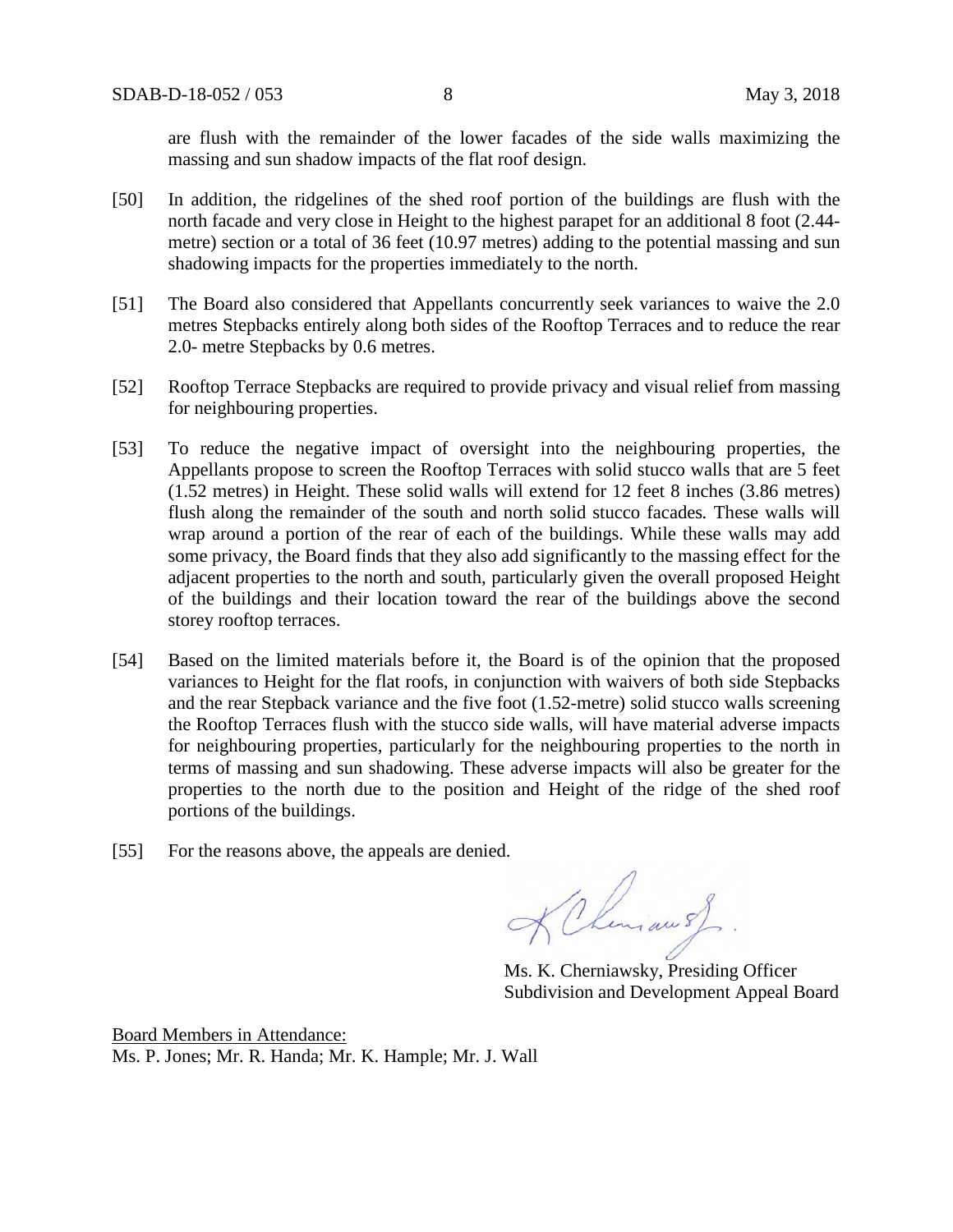are flush with the remainder of the lower facades of the side walls maximizing the massing and sun shadow impacts of the flat roof design.

- [50] In addition, the ridgelines of the shed roof portion of the buildings are flush with the north facade and very close in Height to the highest parapet for an additional 8 foot (2.44 metre) section or a total of 36 feet (10.97 metres) adding to the potential massing and sun shadowing impacts for the properties immediately to the north.
- [51] The Board also considered that Appellants concurrently seek variances to waive the 2.0 metres Stepbacks entirely along both sides of the Rooftop Terraces and to reduce the rear 2.0- metre Stepbacks by 0.6 metres.
- [52] Rooftop Terrace Stepbacks are required to provide privacy and visual relief from massing for neighbouring properties.
- [53] To reduce the negative impact of oversight into the neighbouring properties, the Appellants propose to screen the Rooftop Terraces with solid stucco walls that are 5 feet (1.52 metres) in Height. These solid walls will extend for 12 feet 8 inches (3.86 metres) flush along the remainder of the south and north solid stucco facades*.* These walls will wrap around a portion of the rear of each of the buildings. While these walls may add some privacy, the Board finds that they also add significantly to the massing effect for the adjacent properties to the north and south, particularly given the overall proposed Height of the buildings and their location toward the rear of the buildings above the second storey rooftop terraces.
- [54] Based on the limited materials before it, the Board is of the opinion that the proposed variances to Height for the flat roofs, in conjunction with waivers of both side Stepbacks and the rear Stepback variance and the five foot (1.52-metre) solid stucco walls screening the Rooftop Terraces flush with the stucco side walls, will have material adverse impacts for neighbouring properties, particularly for the neighbouring properties to the north in terms of massing and sun shadowing. These adverse impacts will also be greater for the properties to the north due to the position and Height of the ridge of the shed roof portions of the buildings.
- [55] For the reasons above, the appeals are denied.

KChemiau 5)

Ms. K. Cherniawsky, Presiding Officer Subdivision and Development Appeal Board

Board Members in Attendance: Ms. P. Jones; Mr. R. Handa; Mr. K. Hample; Mr. J. Wall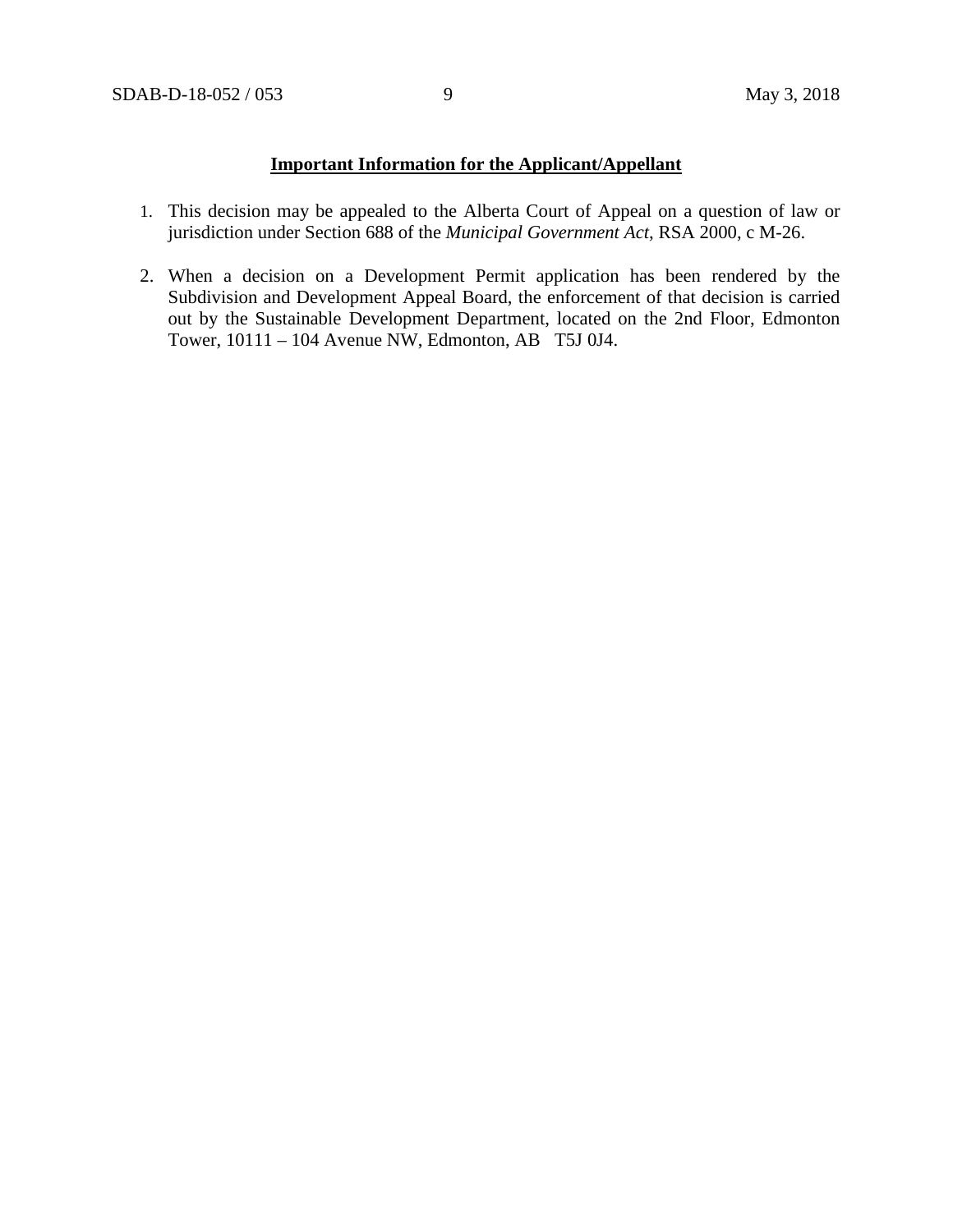### **Important Information for the Applicant/Appellant**

- 1. This decision may be appealed to the Alberta Court of Appeal on a question of law or jurisdiction under Section 688 of the *Municipal Government Act*, RSA 2000, c M-26.
- 2. When a decision on a Development Permit application has been rendered by the Subdivision and Development Appeal Board, the enforcement of that decision is carried out by the Sustainable Development Department, located on the 2nd Floor, Edmonton Tower, 10111 – 104 Avenue NW, Edmonton, AB T5J 0J4.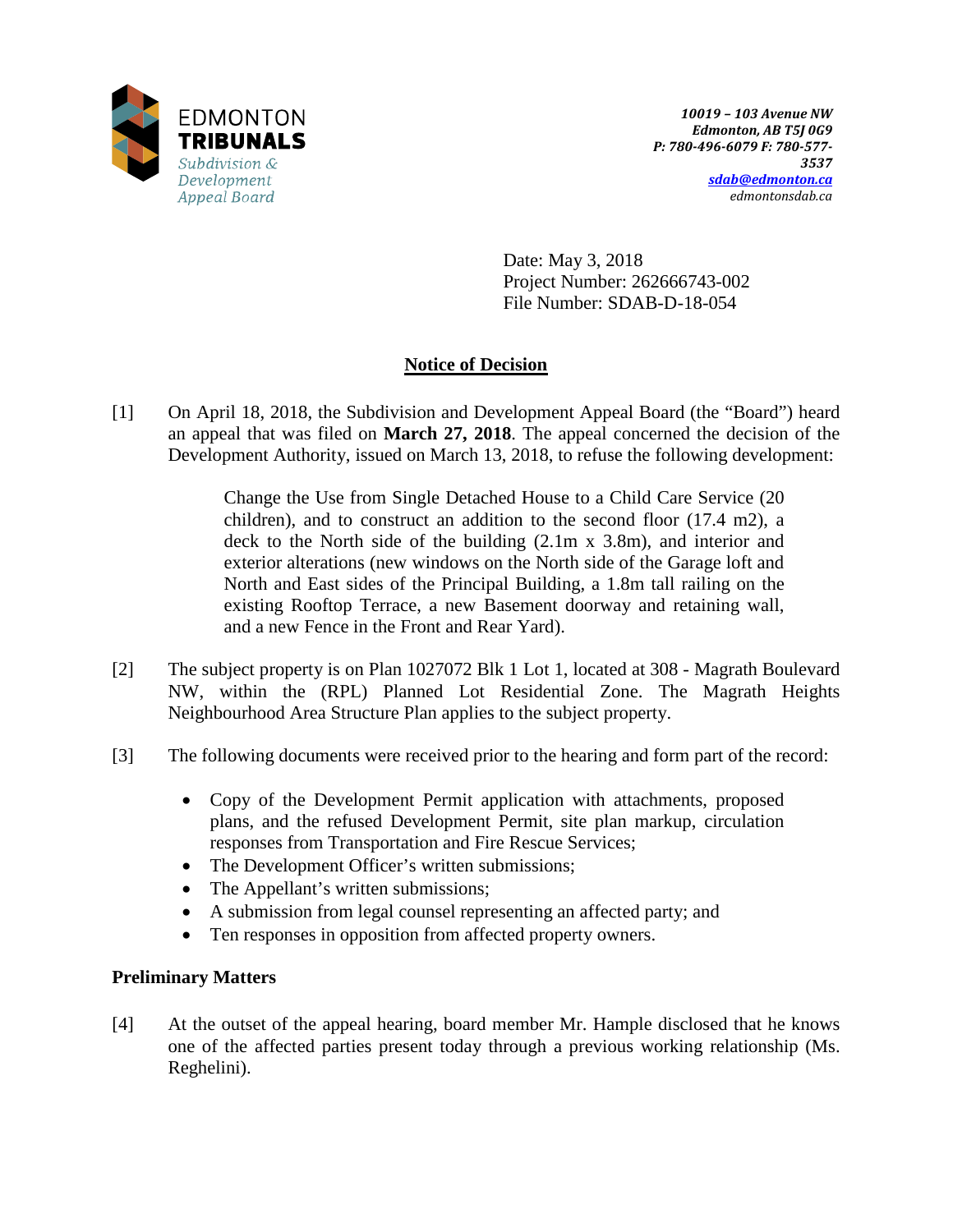

Date: May 3, 2018 Project Number: 262666743-002 File Number: SDAB-D-18-054

# **Notice of Decision**

[1] On April 18, 2018, the Subdivision and Development Appeal Board (the "Board") heard an appeal that was filed on **March 27, 2018**. The appeal concerned the decision of the Development Authority, issued on March 13, 2018, to refuse the following development:

> Change the Use from Single Detached House to a Child Care Service (20 children), and to construct an addition to the second floor (17.4 m2), a deck to the North side of the building (2.1m x 3.8m), and interior and exterior alterations (new windows on the North side of the Garage loft and North and East sides of the Principal Building, a 1.8m tall railing on the existing Rooftop Terrace, a new Basement doorway and retaining wall, and a new Fence in the Front and Rear Yard).

- [2] The subject property is on Plan 1027072 Blk 1 Lot 1, located at 308 Magrath Boulevard NW, within the (RPL) Planned Lot Residential Zone. The Magrath Heights Neighbourhood Area Structure Plan applies to the subject property.
- [3] The following documents were received prior to the hearing and form part of the record:
	- Copy of the Development Permit application with attachments, proposed plans, and the refused Development Permit, site plan markup, circulation responses from Transportation and Fire Rescue Services;
	- The Development Officer's written submissions;
	- The Appellant's written submissions;
	- A submission from legal counsel representing an affected party; and
	- Ten responses in opposition from affected property owners.

## **Preliminary Matters**

[4] At the outset of the appeal hearing, board member Mr. Hample disclosed that he knows one of the affected parties present today through a previous working relationship (Ms. Reghelini).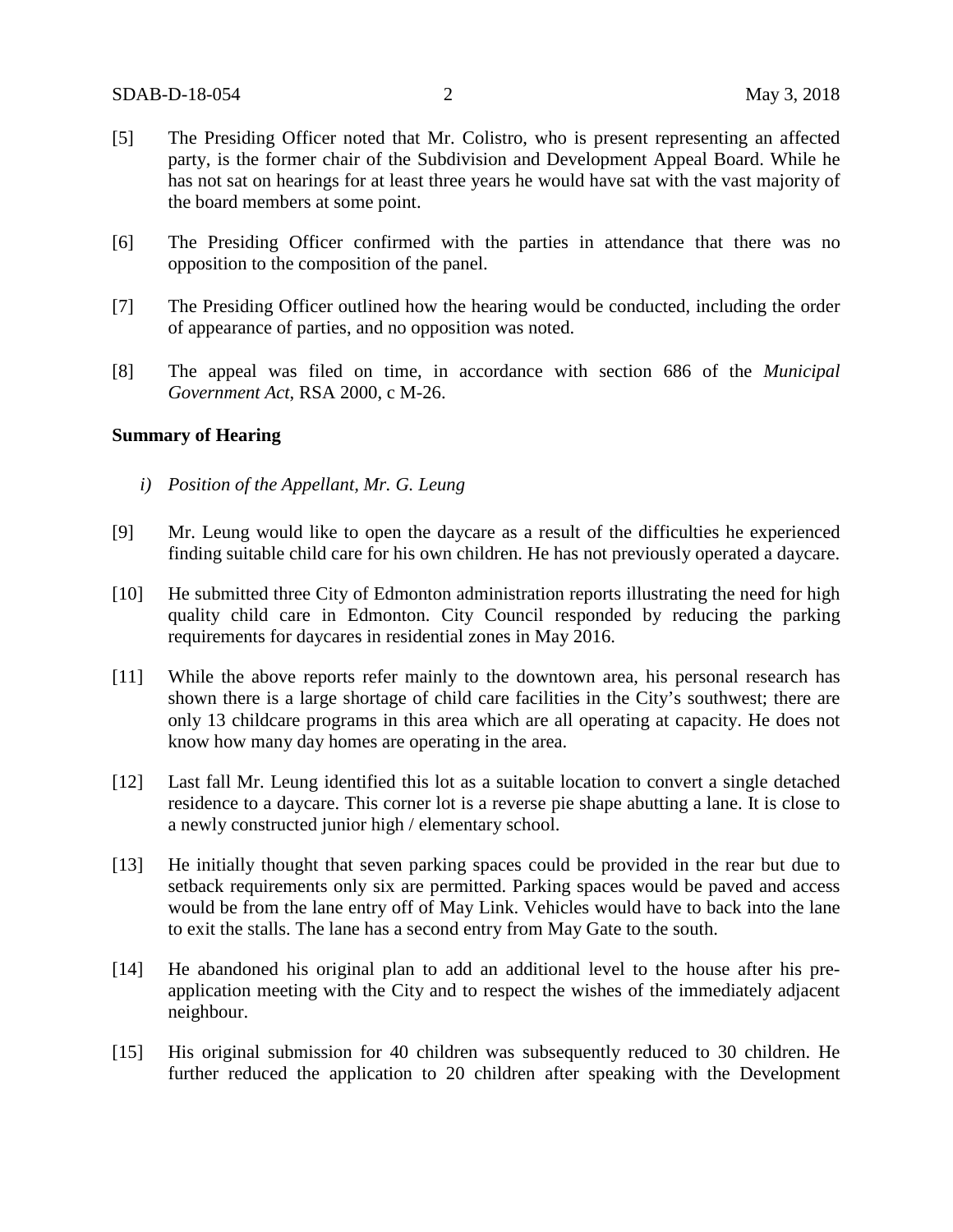- [5] The Presiding Officer noted that Mr. Colistro, who is present representing an affected party, is the former chair of the Subdivision and Development Appeal Board. While he has not sat on hearings for at least three years he would have sat with the vast majority of the board members at some point.
- [6] The Presiding Officer confirmed with the parties in attendance that there was no opposition to the composition of the panel.
- [7] The Presiding Officer outlined how the hearing would be conducted, including the order of appearance of parties, and no opposition was noted.
- [8] The appeal was filed on time, in accordance with section 686 of the *Municipal Government Act*, RSA 2000, c M-26.

#### **Summary of Hearing**

- *i) Position of the Appellant, Mr. G. Leung*
- [9] Mr. Leung would like to open the daycare as a result of the difficulties he experienced finding suitable child care for his own children. He has not previously operated a daycare.
- [10] He submitted three City of Edmonton administration reports illustrating the need for high quality child care in Edmonton. City Council responded by reducing the parking requirements for daycares in residential zones in May 2016.
- [11] While the above reports refer mainly to the downtown area, his personal research has shown there is a large shortage of child care facilities in the City's southwest; there are only 13 childcare programs in this area which are all operating at capacity. He does not know how many day homes are operating in the area.
- [12] Last fall Mr. Leung identified this lot as a suitable location to convert a single detached residence to a daycare. This corner lot is a reverse pie shape abutting a lane. It is close to a newly constructed junior high / elementary school.
- [13] He initially thought that seven parking spaces could be provided in the rear but due to setback requirements only six are permitted. Parking spaces would be paved and access would be from the lane entry off of May Link. Vehicles would have to back into the lane to exit the stalls. The lane has a second entry from May Gate to the south.
- [14] He abandoned his original plan to add an additional level to the house after his preapplication meeting with the City and to respect the wishes of the immediately adjacent neighbour.
- [15] His original submission for 40 children was subsequently reduced to 30 children. He further reduced the application to 20 children after speaking with the Development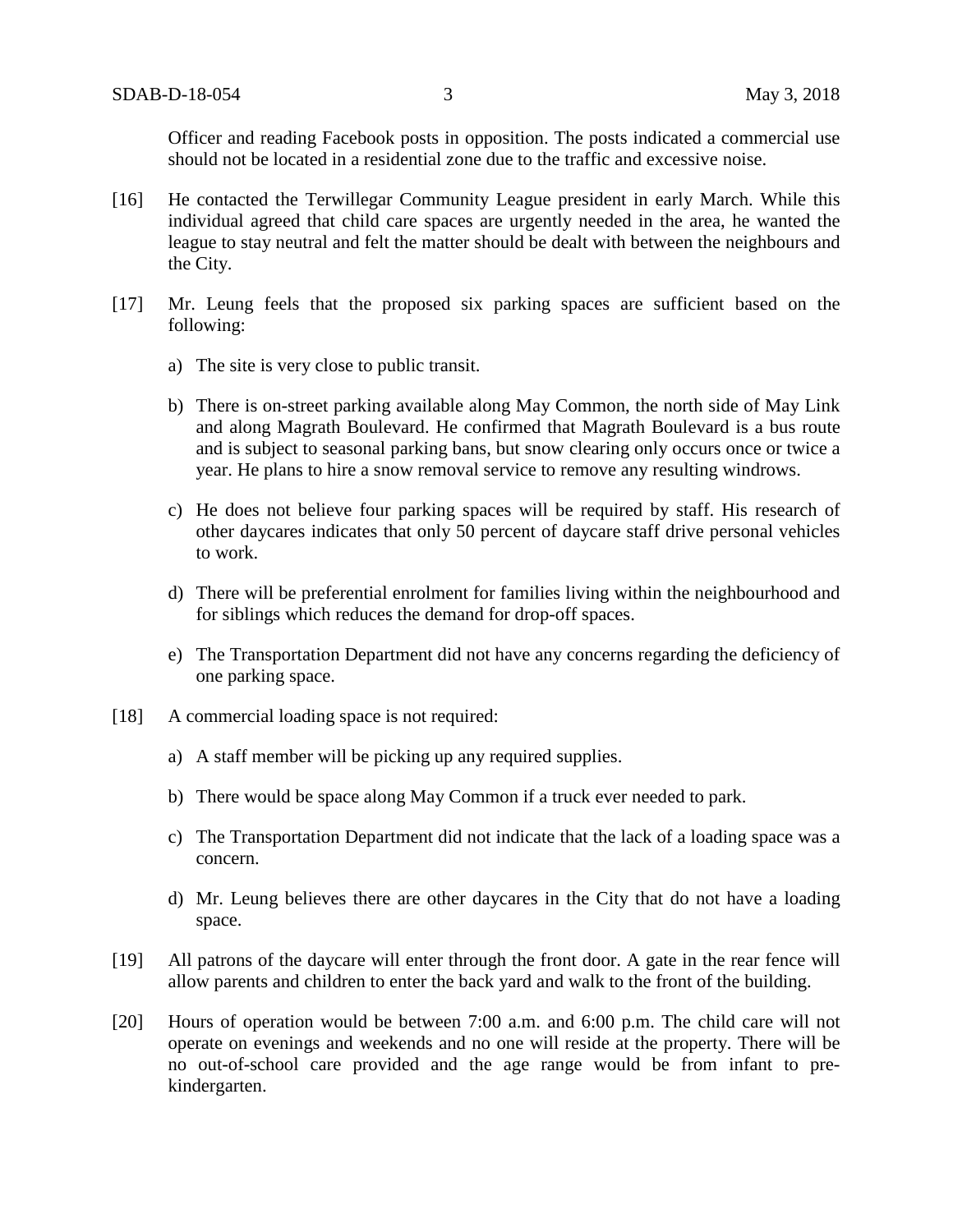Officer and reading Facebook posts in opposition. The posts indicated a commercial use should not be located in a residential zone due to the traffic and excessive noise.

- [16] He contacted the Terwillegar Community League president in early March. While this individual agreed that child care spaces are urgently needed in the area, he wanted the league to stay neutral and felt the matter should be dealt with between the neighbours and the City.
- [17] Mr. Leung feels that the proposed six parking spaces are sufficient based on the following:
	- a) The site is very close to public transit.
	- b) There is on-street parking available along May Common, the north side of May Link and along Magrath Boulevard. He confirmed that Magrath Boulevard is a bus route and is subject to seasonal parking bans, but snow clearing only occurs once or twice a year. He plans to hire a snow removal service to remove any resulting windrows.
	- c) He does not believe four parking spaces will be required by staff. His research of other daycares indicates that only 50 percent of daycare staff drive personal vehicles to work.
	- d) There will be preferential enrolment for families living within the neighbourhood and for siblings which reduces the demand for drop-off spaces.
	- e) The Transportation Department did not have any concerns regarding the deficiency of one parking space.
- [18] A commercial loading space is not required:
	- a) A staff member will be picking up any required supplies.
	- b) There would be space along May Common if a truck ever needed to park.
	- c) The Transportation Department did not indicate that the lack of a loading space was a concern.
	- d) Mr. Leung believes there are other daycares in the City that do not have a loading space.
- [19] All patrons of the daycare will enter through the front door. A gate in the rear fence will allow parents and children to enter the back yard and walk to the front of the building.
- [20] Hours of operation would be between 7:00 a.m. and 6:00 p.m. The child care will not operate on evenings and weekends and no one will reside at the property. There will be no out-of-school care provided and the age range would be from infant to prekindergarten.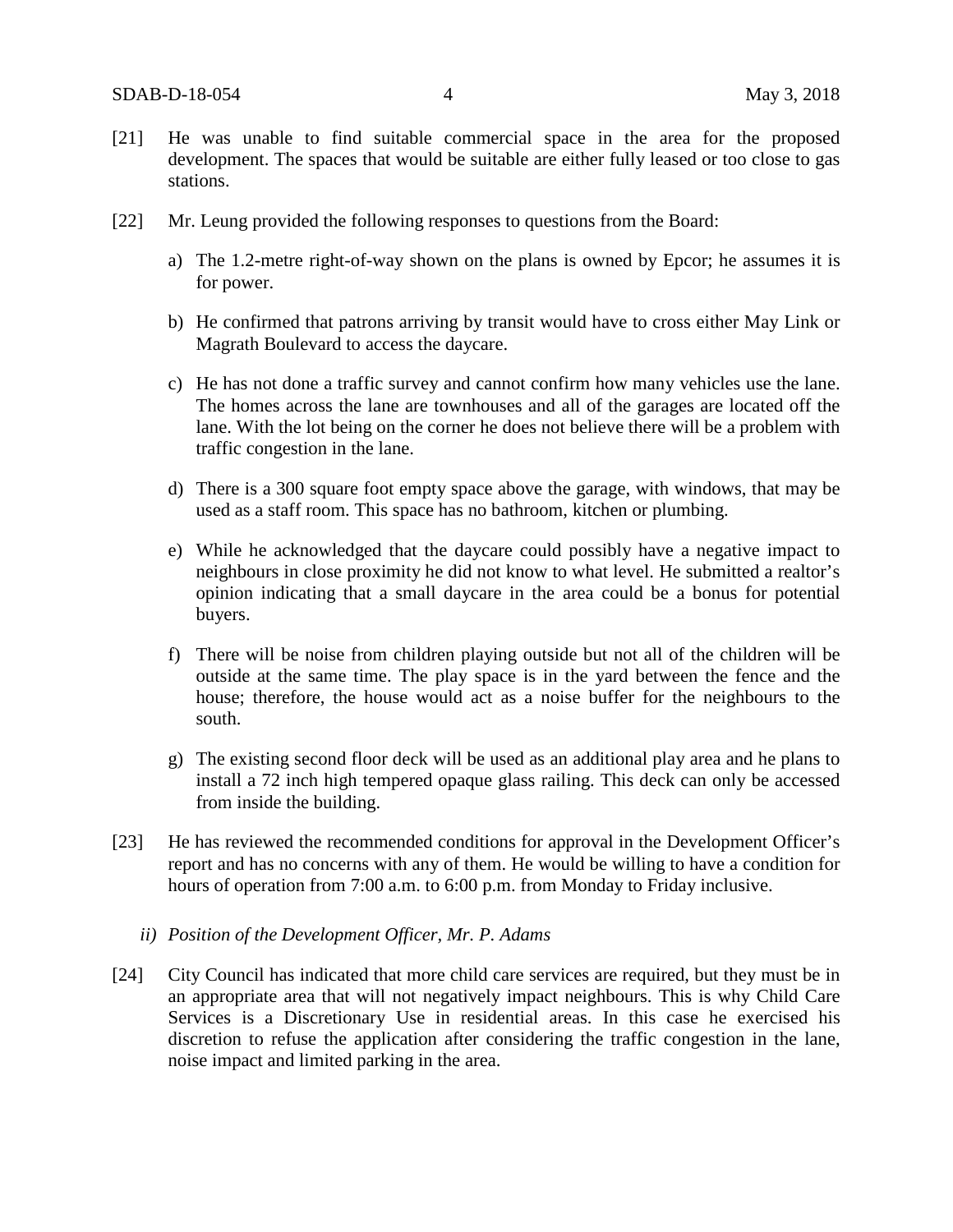- [21] He was unable to find suitable commercial space in the area for the proposed development. The spaces that would be suitable are either fully leased or too close to gas stations.
- [22] Mr. Leung provided the following responses to questions from the Board:
	- a) The 1.2-metre right-of-way shown on the plans is owned by Epcor; he assumes it is for power.
	- b) He confirmed that patrons arriving by transit would have to cross either May Link or Magrath Boulevard to access the daycare.
	- c) He has not done a traffic survey and cannot confirm how many vehicles use the lane. The homes across the lane are townhouses and all of the garages are located off the lane. With the lot being on the corner he does not believe there will be a problem with traffic congestion in the lane.
	- d) There is a 300 square foot empty space above the garage, with windows, that may be used as a staff room. This space has no bathroom, kitchen or plumbing.
	- e) While he acknowledged that the daycare could possibly have a negative impact to neighbours in close proximity he did not know to what level. He submitted a realtor's opinion indicating that a small daycare in the area could be a bonus for potential buyers.
	- f) There will be noise from children playing outside but not all of the children will be outside at the same time. The play space is in the yard between the fence and the house; therefore, the house would act as a noise buffer for the neighbours to the south.
	- g) The existing second floor deck will be used as an additional play area and he plans to install a 72 inch high tempered opaque glass railing. This deck can only be accessed from inside the building.
- [23] He has reviewed the recommended conditions for approval in the Development Officer's report and has no concerns with any of them. He would be willing to have a condition for hours of operation from 7:00 a.m. to 6:00 p.m. from Monday to Friday inclusive.
	- *ii) Position of the Development Officer, Mr. P. Adams*
- [24] City Council has indicated that more child care services are required, but they must be in an appropriate area that will not negatively impact neighbours. This is why Child Care Services is a Discretionary Use in residential areas. In this case he exercised his discretion to refuse the application after considering the traffic congestion in the lane, noise impact and limited parking in the area.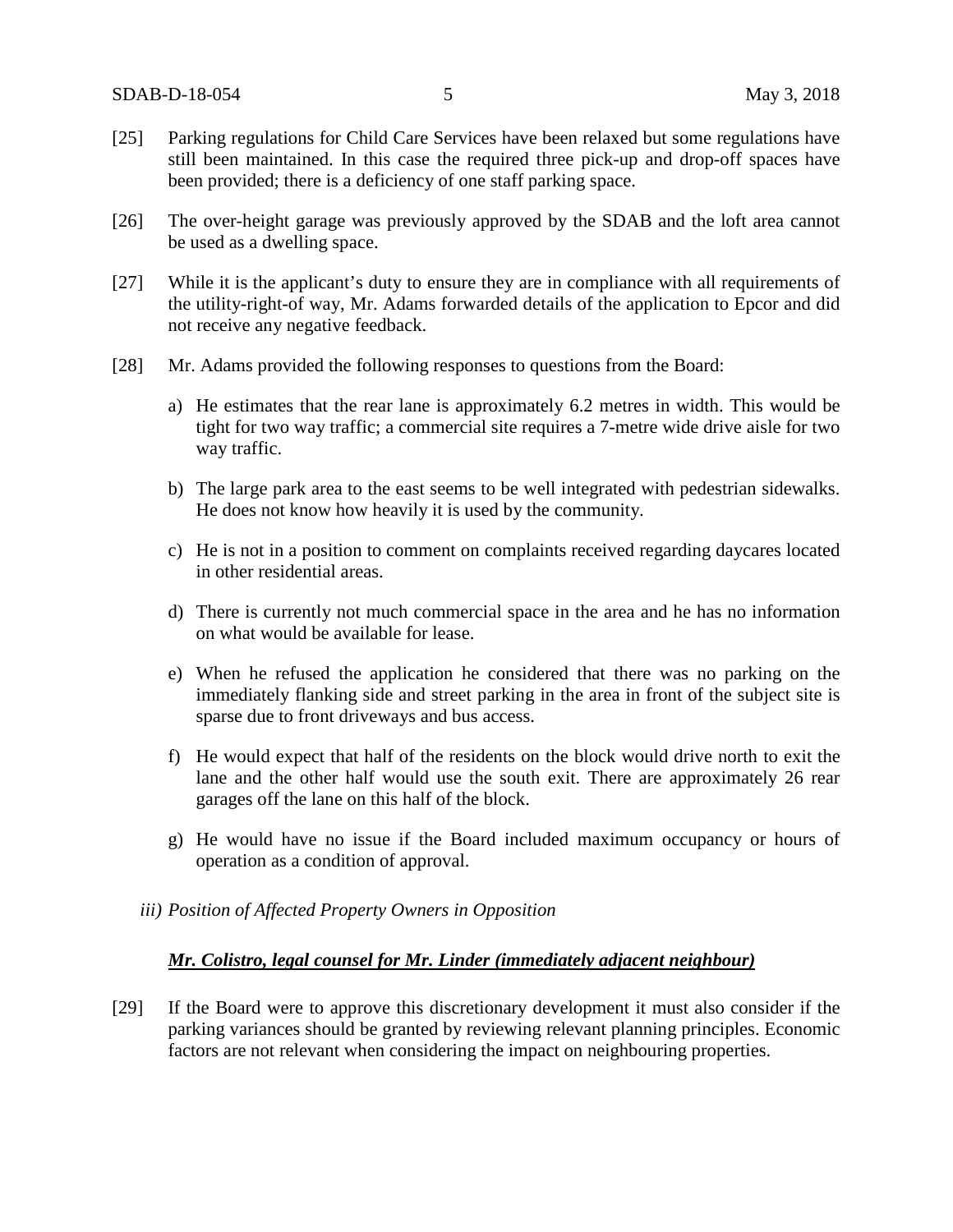- [25] Parking regulations for Child Care Services have been relaxed but some regulations have still been maintained. In this case the required three pick-up and drop-off spaces have been provided; there is a deficiency of one staff parking space.
- [26] The over-height garage was previously approved by the SDAB and the loft area cannot be used as a dwelling space.
- [27] While it is the applicant's duty to ensure they are in compliance with all requirements of the utility-right-of way, Mr. Adams forwarded details of the application to Epcor and did not receive any negative feedback.
- [28] Mr. Adams provided the following responses to questions from the Board:
	- a) He estimates that the rear lane is approximately 6.2 metres in width. This would be tight for two way traffic; a commercial site requires a 7-metre wide drive aisle for two way traffic.
	- b) The large park area to the east seems to be well integrated with pedestrian sidewalks. He does not know how heavily it is used by the community.
	- c) He is not in a position to comment on complaints received regarding daycares located in other residential areas.
	- d) There is currently not much commercial space in the area and he has no information on what would be available for lease.
	- e) When he refused the application he considered that there was no parking on the immediately flanking side and street parking in the area in front of the subject site is sparse due to front driveways and bus access.
	- f) He would expect that half of the residents on the block would drive north to exit the lane and the other half would use the south exit. There are approximately 26 rear garages off the lane on this half of the block.
	- g) He would have no issue if the Board included maximum occupancy or hours of operation as a condition of approval.
	- *iii) Position of Affected Property Owners in Opposition*

## *Mr. Colistro, legal counsel for Mr. Linder (immediately adjacent neighbour)*

[29] If the Board were to approve this discretionary development it must also consider if the parking variances should be granted by reviewing relevant planning principles. Economic factors are not relevant when considering the impact on neighbouring properties.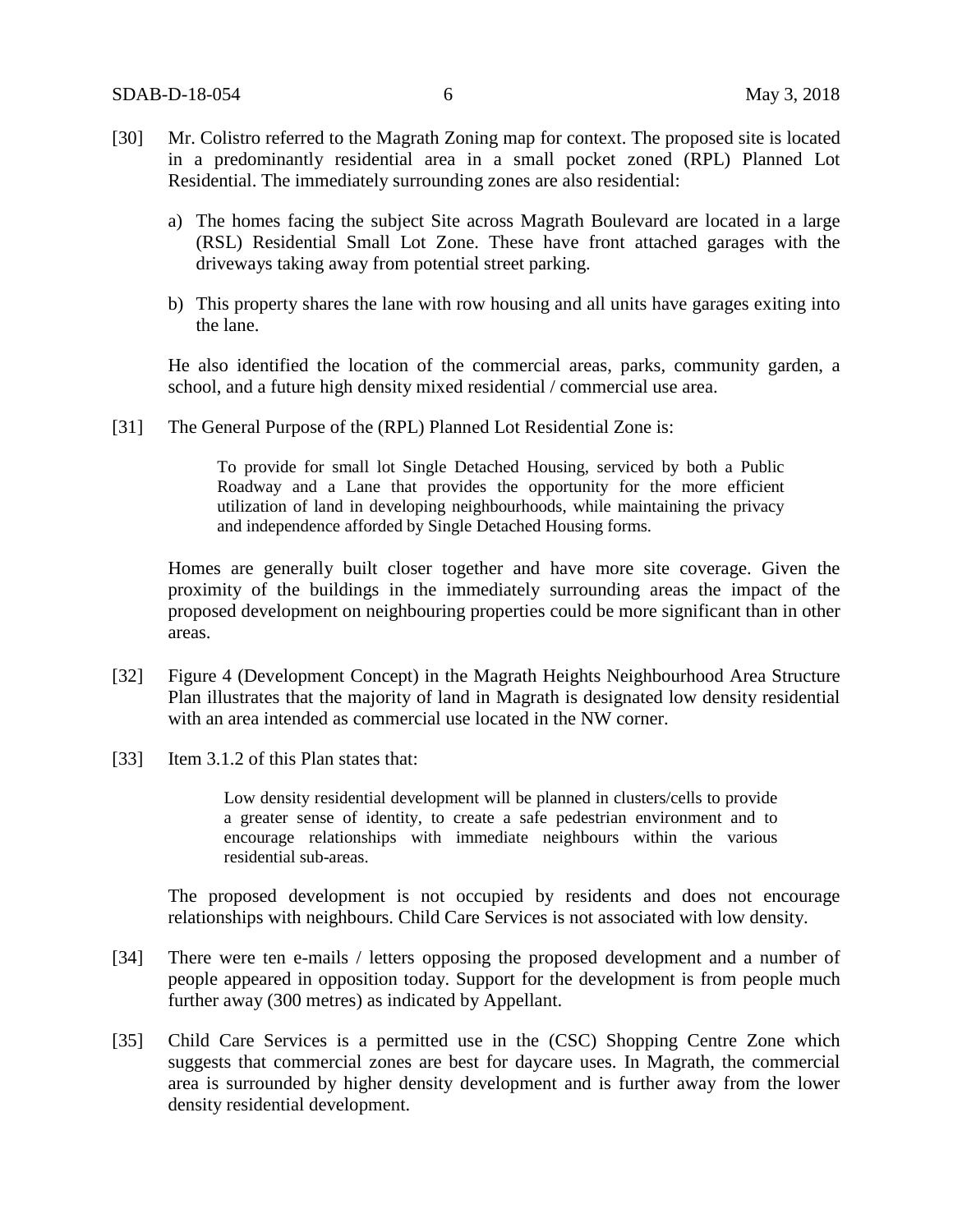- [30] Mr. Colistro referred to the Magrath Zoning map for context. The proposed site is located in a predominantly residential area in a small pocket zoned (RPL) Planned Lot Residential. The immediately surrounding zones are also residential:
	- a) The homes facing the subject Site across Magrath Boulevard are located in a large (RSL) Residential Small Lot Zone. These have front attached garages with the driveways taking away from potential street parking.
	- b) This property shares the lane with row housing and all units have garages exiting into the lane.

He also identified the location of the commercial areas, parks, community garden, a school, and a future high density mixed residential / commercial use area.

[31] The General Purpose of the (RPL) Planned Lot Residential Zone is:

To provide for small lot Single Detached Housing, serviced by both a Public Roadway and a Lane that provides the opportunity for the more efficient utilization of land in developing neighbourhoods, while maintaining the privacy and independence afforded by Single Detached Housing forms.

Homes are generally built closer together and have more site coverage. Given the proximity of the buildings in the immediately surrounding areas the impact of the proposed development on neighbouring properties could be more significant than in other areas.

- [32] Figure 4 (Development Concept) in the Magrath Heights Neighbourhood Area Structure Plan illustrates that the majority of land in Magrath is designated low density residential with an area intended as commercial use located in the NW corner.
- [33] Item 3.1.2 of this Plan states that:

Low density residential development will be planned in clusters/cells to provide a greater sense of identity, to create a safe pedestrian environment and to encourage relationships with immediate neighbours within the various residential sub-areas.

The proposed development is not occupied by residents and does not encourage relationships with neighbours. Child Care Services is not associated with low density.

- [34] There were ten e-mails / letters opposing the proposed development and a number of people appeared in opposition today. Support for the development is from people much further away (300 metres) as indicated by Appellant.
- [35] Child Care Services is a permitted use in the (CSC) Shopping Centre Zone which suggests that commercial zones are best for daycare uses. In Magrath, the commercial area is surrounded by higher density development and is further away from the lower density residential development.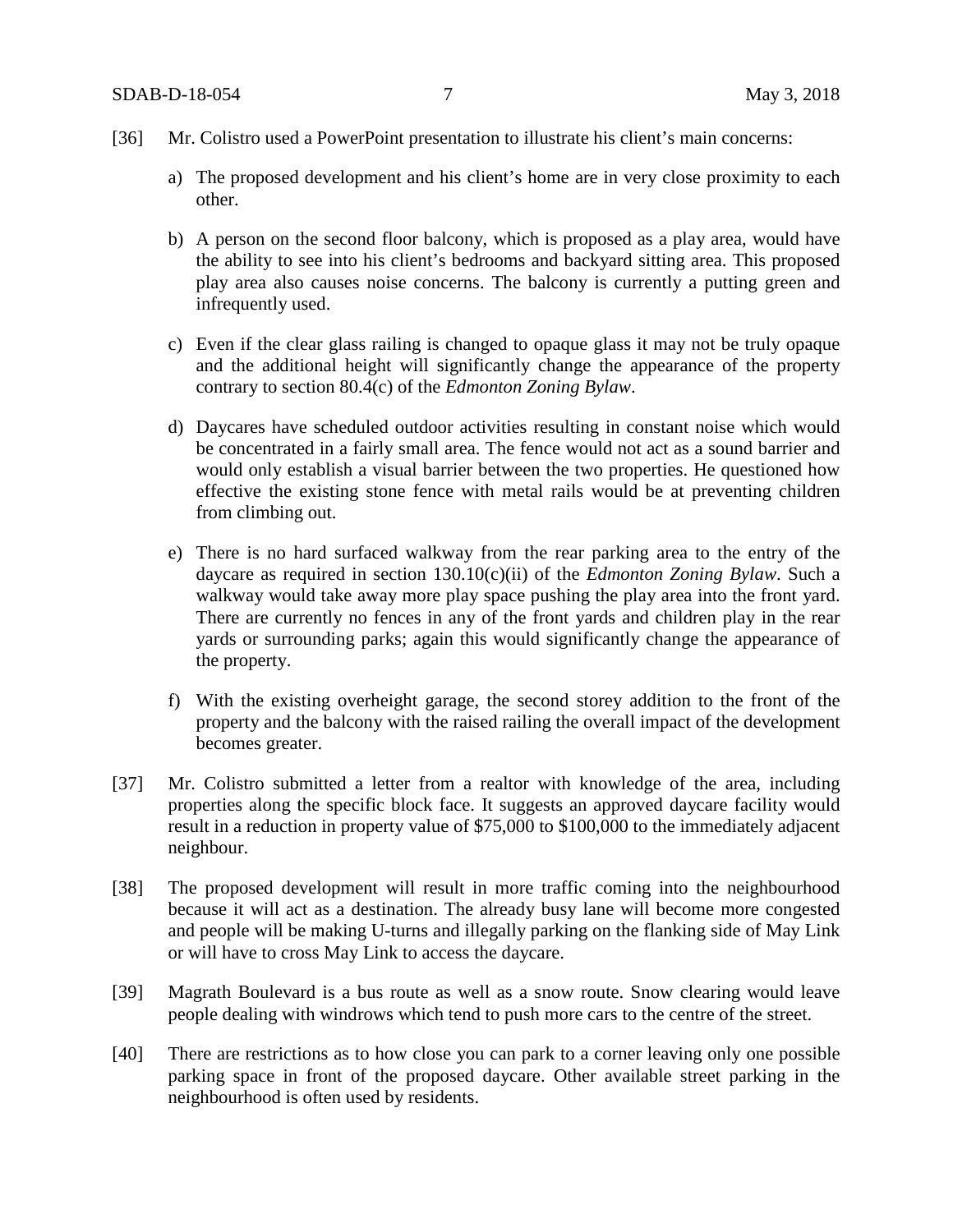- [36] Mr. Colistro used a PowerPoint presentation to illustrate his client's main concerns:
	- a) The proposed development and his client's home are in very close proximity to each other.
	- b) A person on the second floor balcony, which is proposed as a play area, would have the ability to see into his client's bedrooms and backyard sitting area. This proposed play area also causes noise concerns. The balcony is currently a putting green and infrequently used.
	- c) Even if the clear glass railing is changed to opaque glass it may not be truly opaque and the additional height will significantly change the appearance of the property contrary to section 80.4(c) of the *Edmonton Zoning Bylaw*.
	- d) Daycares have scheduled outdoor activities resulting in constant noise which would be concentrated in a fairly small area. The fence would not act as a sound barrier and would only establish a visual barrier between the two properties. He questioned how effective the existing stone fence with metal rails would be at preventing children from climbing out.
	- e) There is no hard surfaced walkway from the rear parking area to the entry of the daycare as required in section 130.10(c)(ii) of the *Edmonton Zoning Bylaw*. Such a walkway would take away more play space pushing the play area into the front yard. There are currently no fences in any of the front yards and children play in the rear yards or surrounding parks; again this would significantly change the appearance of the property.
	- f) With the existing overheight garage, the second storey addition to the front of the property and the balcony with the raised railing the overall impact of the development becomes greater.
- [37] Mr. Colistro submitted a letter from a realtor with knowledge of the area, including properties along the specific block face. It suggests an approved daycare facility would result in a reduction in property value of \$75,000 to \$100,000 to the immediately adjacent neighbour.
- [38] The proposed development will result in more traffic coming into the neighbourhood because it will act as a destination. The already busy lane will become more congested and people will be making U-turns and illegally parking on the flanking side of May Link or will have to cross May Link to access the daycare.
- [39] Magrath Boulevard is a bus route as well as a snow route. Snow clearing would leave people dealing with windrows which tend to push more cars to the centre of the street.
- [40] There are restrictions as to how close you can park to a corner leaving only one possible parking space in front of the proposed daycare. Other available street parking in the neighbourhood is often used by residents.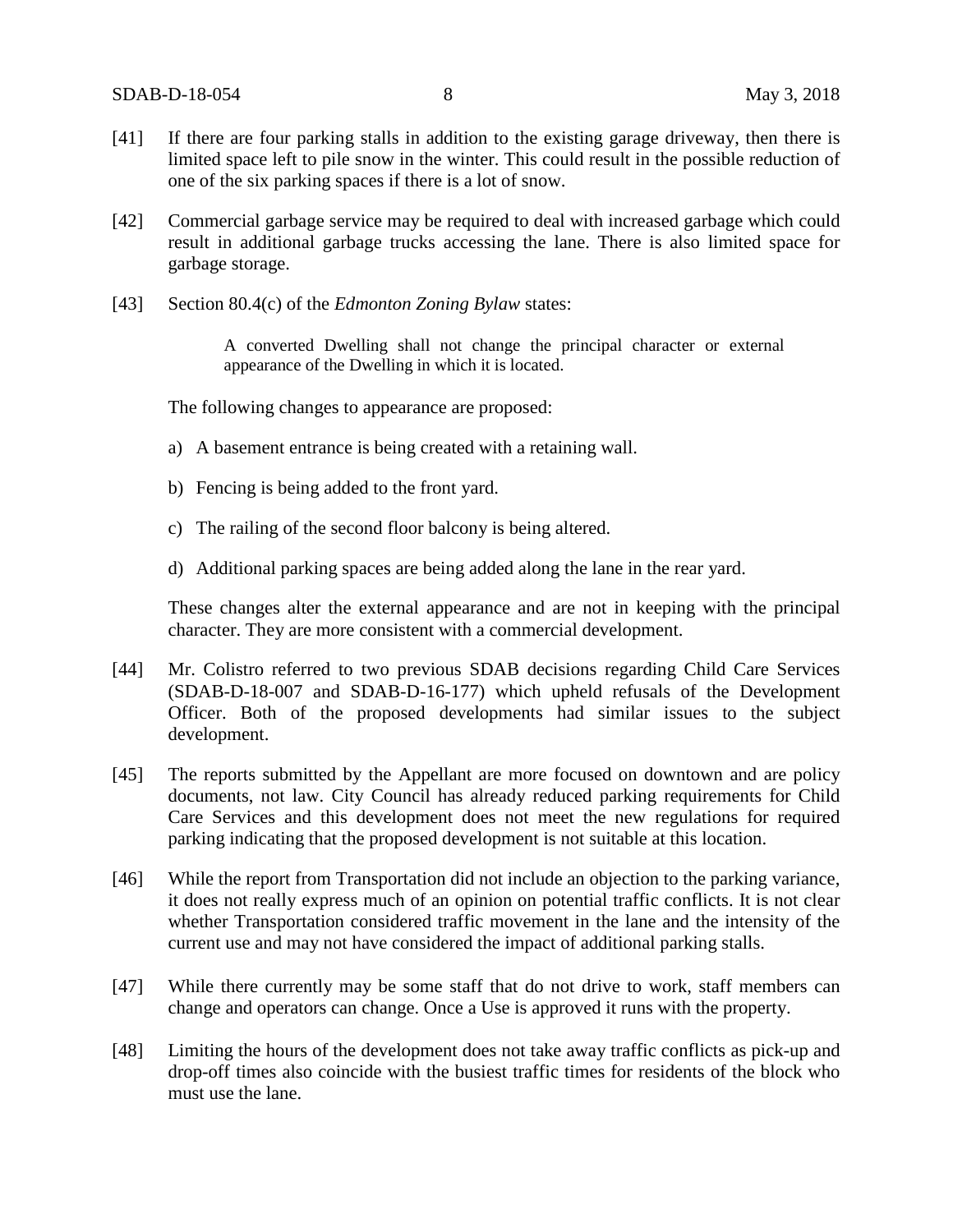- [41] If there are four parking stalls in addition to the existing garage driveway, then there is limited space left to pile snow in the winter. This could result in the possible reduction of one of the six parking spaces if there is a lot of snow.
- [42] Commercial garbage service may be required to deal with increased garbage which could result in additional garbage trucks accessing the lane. There is also limited space for garbage storage.
- [43] Section 80.4(c) of the *Edmonton Zoning Bylaw* states:

A converted Dwelling shall not change the principal character or external appearance of the Dwelling in which it is located.

The following changes to appearance are proposed:

- a) A basement entrance is being created with a retaining wall.
- b) Fencing is being added to the front yard.
- c) The railing of the second floor balcony is being altered.
- d) Additional parking spaces are being added along the lane in the rear yard.

These changes alter the external appearance and are not in keeping with the principal character. They are more consistent with a commercial development.

- [44] Mr. Colistro referred to two previous SDAB decisions regarding Child Care Services (SDAB-D-18-007 and SDAB-D-16-177) which upheld refusals of the Development Officer. Both of the proposed developments had similar issues to the subject development.
- [45] The reports submitted by the Appellant are more focused on downtown and are policy documents, not law. City Council has already reduced parking requirements for Child Care Services and this development does not meet the new regulations for required parking indicating that the proposed development is not suitable at this location.
- [46] While the report from Transportation did not include an objection to the parking variance, it does not really express much of an opinion on potential traffic conflicts. It is not clear whether Transportation considered traffic movement in the lane and the intensity of the current use and may not have considered the impact of additional parking stalls.
- [47] While there currently may be some staff that do not drive to work, staff members can change and operators can change. Once a Use is approved it runs with the property.
- [48] Limiting the hours of the development does not take away traffic conflicts as pick-up and drop-off times also coincide with the busiest traffic times for residents of the block who must use the lane.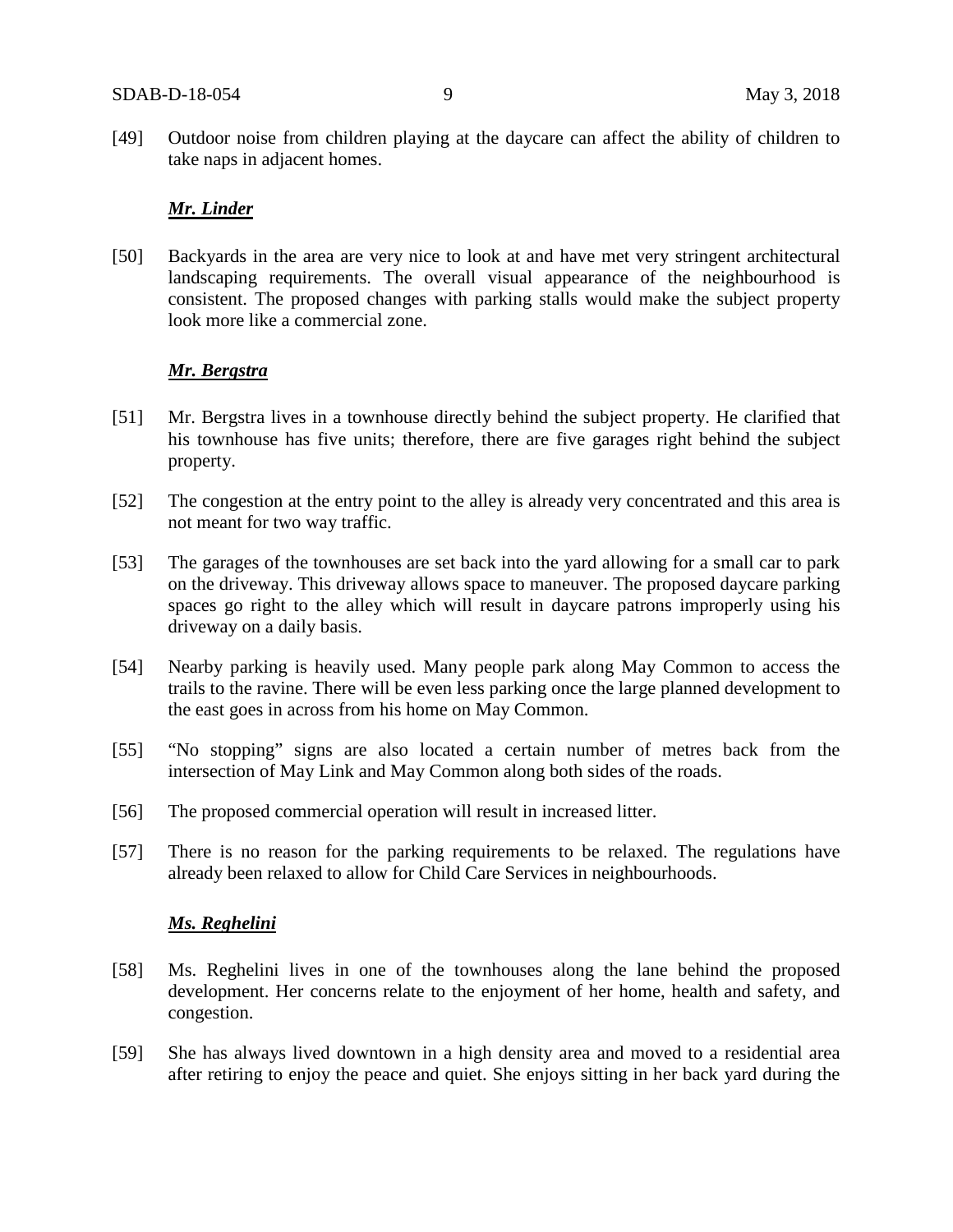[49] Outdoor noise from children playing at the daycare can affect the ability of children to take naps in adjacent homes.

### *Mr. Linder*

[50] Backyards in the area are very nice to look at and have met very stringent architectural landscaping requirements. The overall visual appearance of the neighbourhood is consistent. The proposed changes with parking stalls would make the subject property look more like a commercial zone.

#### *Mr. Bergstra*

- [51] Mr. Bergstra lives in a townhouse directly behind the subject property. He clarified that his townhouse has five units; therefore, there are five garages right behind the subject property.
- [52] The congestion at the entry point to the alley is already very concentrated and this area is not meant for two way traffic.
- [53] The garages of the townhouses are set back into the yard allowing for a small car to park on the driveway. This driveway allows space to maneuver. The proposed daycare parking spaces go right to the alley which will result in daycare patrons improperly using his driveway on a daily basis.
- [54] Nearby parking is heavily used. Many people park along May Common to access the trails to the ravine. There will be even less parking once the large planned development to the east goes in across from his home on May Common.
- [55] "No stopping" signs are also located a certain number of metres back from the intersection of May Link and May Common along both sides of the roads.
- [56] The proposed commercial operation will result in increased litter.
- [57] There is no reason for the parking requirements to be relaxed. The regulations have already been relaxed to allow for Child Care Services in neighbourhoods.

#### *Ms. Reghelini*

- [58] Ms. Reghelini lives in one of the townhouses along the lane behind the proposed development. Her concerns relate to the enjoyment of her home, health and safety, and congestion.
- [59] She has always lived downtown in a high density area and moved to a residential area after retiring to enjoy the peace and quiet. She enjoys sitting in her back yard during the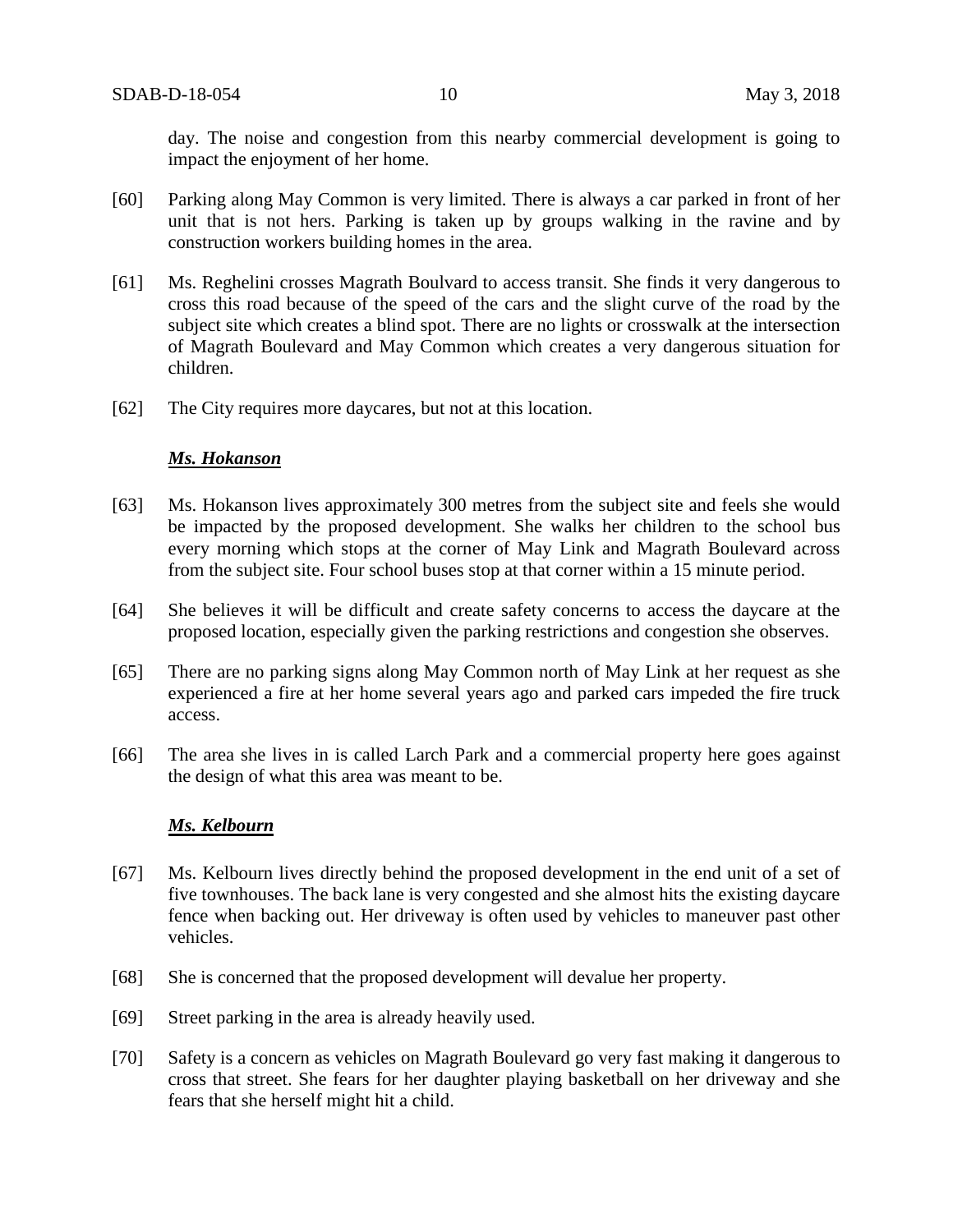day. The noise and congestion from this nearby commercial development is going to impact the enjoyment of her home.

- [60] Parking along May Common is very limited. There is always a car parked in front of her unit that is not hers. Parking is taken up by groups walking in the ravine and by construction workers building homes in the area.
- [61] Ms. Reghelini crosses Magrath Boulvard to access transit. She finds it very dangerous to cross this road because of the speed of the cars and the slight curve of the road by the subject site which creates a blind spot. There are no lights or crosswalk at the intersection of Magrath Boulevard and May Common which creates a very dangerous situation for children.
- [62] The City requires more daycares, but not at this location.

#### *Ms. Hokanson*

- [63] Ms. Hokanson lives approximately 300 metres from the subject site and feels she would be impacted by the proposed development. She walks her children to the school bus every morning which stops at the corner of May Link and Magrath Boulevard across from the subject site. Four school buses stop at that corner within a 15 minute period.
- [64] She believes it will be difficult and create safety concerns to access the daycare at the proposed location, especially given the parking restrictions and congestion she observes.
- [65] There are no parking signs along May Common north of May Link at her request as she experienced a fire at her home several years ago and parked cars impeded the fire truck access.
- [66] The area she lives in is called Larch Park and a commercial property here goes against the design of what this area was meant to be.

#### *Ms. Kelbourn*

- [67] Ms. Kelbourn lives directly behind the proposed development in the end unit of a set of five townhouses. The back lane is very congested and she almost hits the existing daycare fence when backing out. Her driveway is often used by vehicles to maneuver past other vehicles.
- [68] She is concerned that the proposed development will devalue her property.
- [69] Street parking in the area is already heavily used.
- [70] Safety is a concern as vehicles on Magrath Boulevard go very fast making it dangerous to cross that street. She fears for her daughter playing basketball on her driveway and she fears that she herself might hit a child.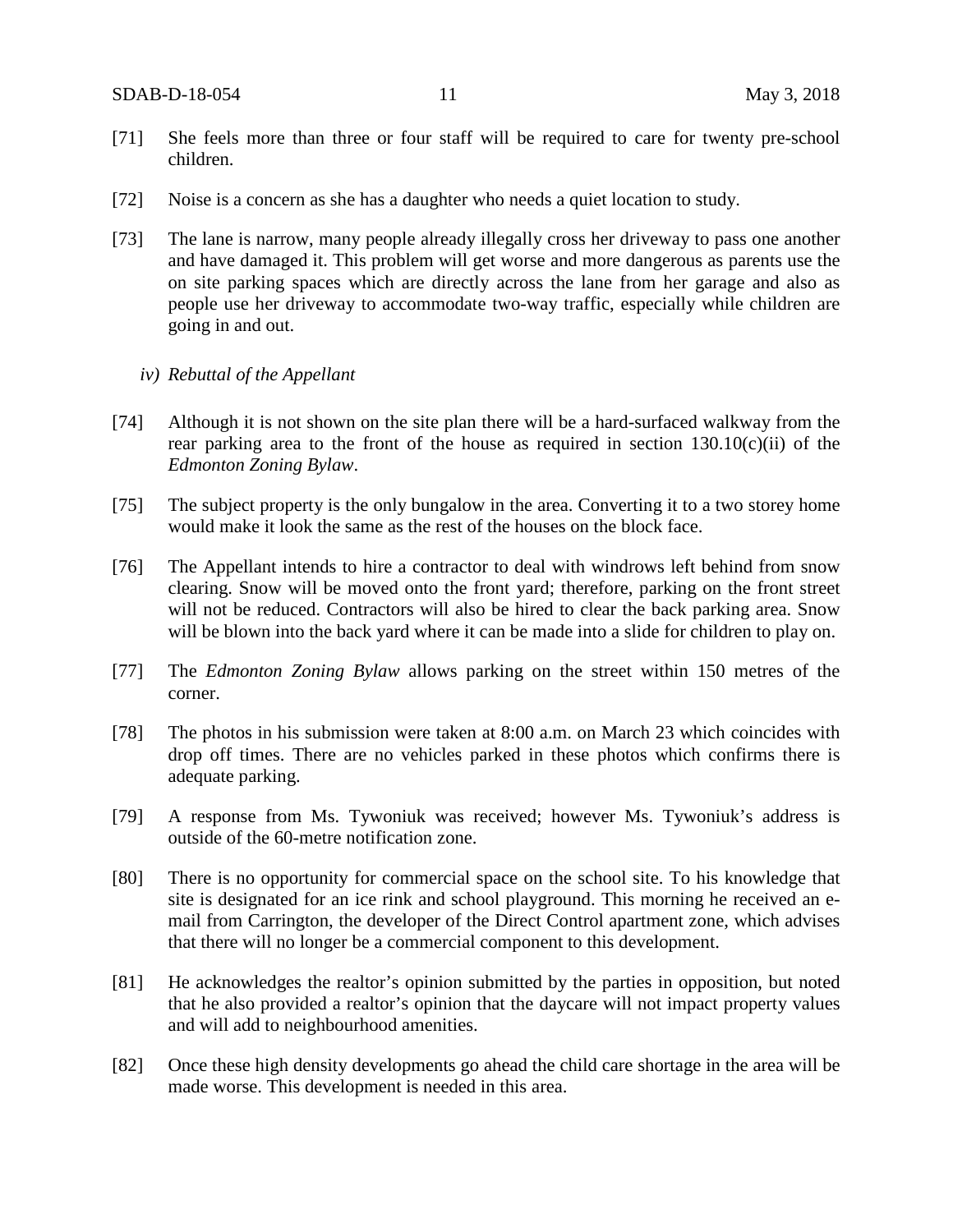- [71] She feels more than three or four staff will be required to care for twenty pre-school children.
- [72] Noise is a concern as she has a daughter who needs a quiet location to study.
- [73] The lane is narrow, many people already illegally cross her driveway to pass one another and have damaged it. This problem will get worse and more dangerous as parents use the on site parking spaces which are directly across the lane from her garage and also as people use her driveway to accommodate two-way traffic, especially while children are going in and out.
	- *iv) Rebuttal of the Appellant*
- [74] Although it is not shown on the site plan there will be a hard-surfaced walkway from the rear parking area to the front of the house as required in section  $130.10(c)(ii)$  of the *Edmonton Zoning Bylaw*.
- [75] The subject property is the only bungalow in the area. Converting it to a two storey home would make it look the same as the rest of the houses on the block face.
- [76] The Appellant intends to hire a contractor to deal with windrows left behind from snow clearing. Snow will be moved onto the front yard; therefore, parking on the front street will not be reduced. Contractors will also be hired to clear the back parking area. Snow will be blown into the back yard where it can be made into a slide for children to play on.
- [77] The *Edmonton Zoning Bylaw* allows parking on the street within 150 metres of the corner.
- [78] The photos in his submission were taken at 8:00 a.m. on March 23 which coincides with drop off times. There are no vehicles parked in these photos which confirms there is adequate parking.
- [79] A response from Ms. Tywoniuk was received; however Ms. Tywoniuk's address is outside of the 60-metre notification zone.
- [80] There is no opportunity for commercial space on the school site. To his knowledge that site is designated for an ice rink and school playground. This morning he received an email from Carrington, the developer of the Direct Control apartment zone, which advises that there will no longer be a commercial component to this development.
- [81] He acknowledges the realtor's opinion submitted by the parties in opposition, but noted that he also provided a realtor's opinion that the daycare will not impact property values and will add to neighbourhood amenities.
- [82] Once these high density developments go ahead the child care shortage in the area will be made worse. This development is needed in this area.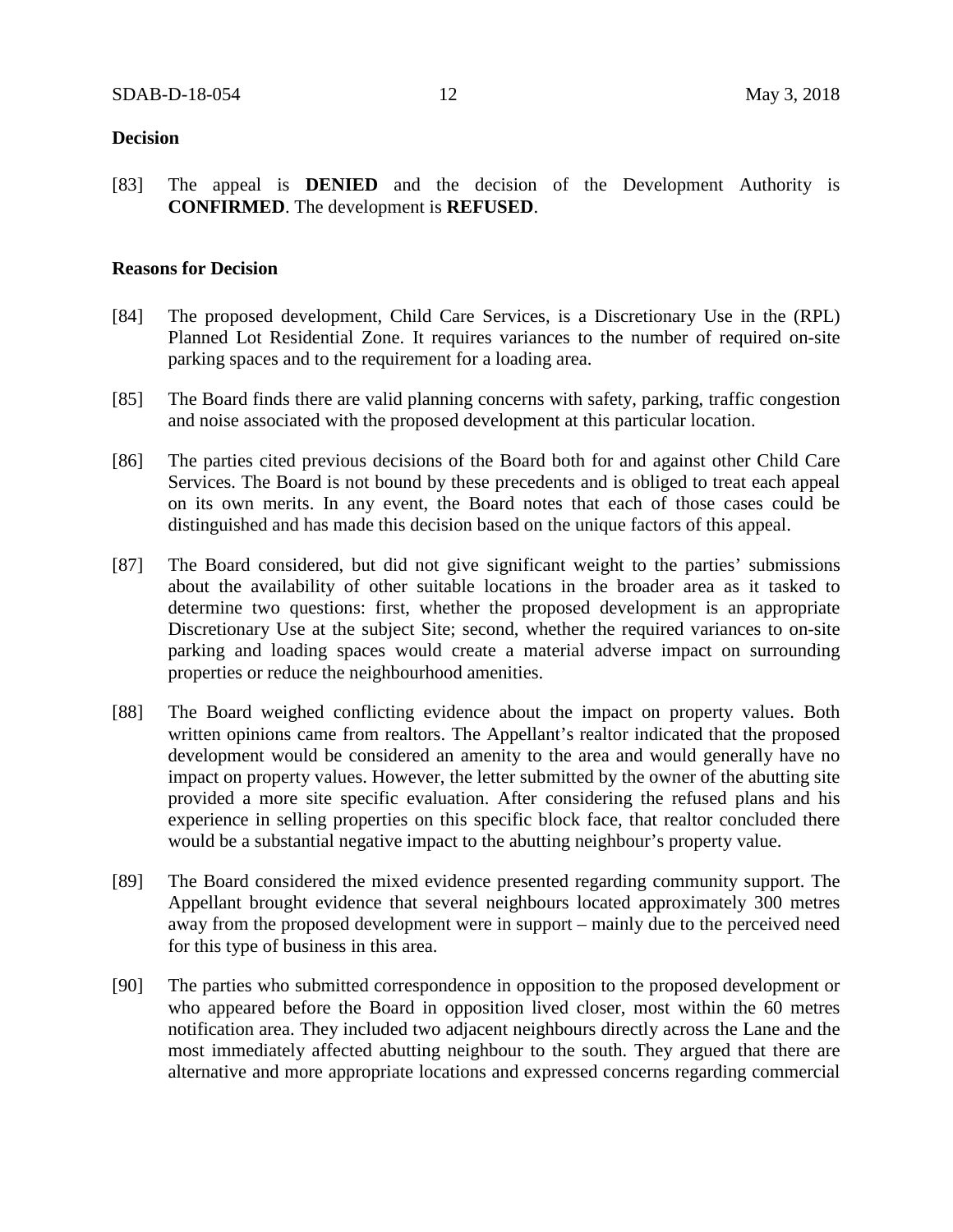#### **Decision**

[83] The appeal is **DENIED** and the decision of the Development Authority is **CONFIRMED**. The development is **REFUSED**.

#### **Reasons for Decision**

- [84] The proposed development, Child Care Services, is a Discretionary Use in the (RPL) Planned Lot Residential Zone. It requires variances to the number of required on-site parking spaces and to the requirement for a loading area.
- [85] The Board finds there are valid planning concerns with safety, parking, traffic congestion and noise associated with the proposed development at this particular location.
- [86] The parties cited previous decisions of the Board both for and against other Child Care Services. The Board is not bound by these precedents and is obliged to treat each appeal on its own merits. In any event, the Board notes that each of those cases could be distinguished and has made this decision based on the unique factors of this appeal.
- [87] The Board considered, but did not give significant weight to the parties' submissions about the availability of other suitable locations in the broader area as it tasked to determine two questions: first, whether the proposed development is an appropriate Discretionary Use at the subject Site; second, whether the required variances to on-site parking and loading spaces would create a material adverse impact on surrounding properties or reduce the neighbourhood amenities.
- [88] The Board weighed conflicting evidence about the impact on property values. Both written opinions came from realtors. The Appellant's realtor indicated that the proposed development would be considered an amenity to the area and would generally have no impact on property values. However, the letter submitted by the owner of the abutting site provided a more site specific evaluation. After considering the refused plans and his experience in selling properties on this specific block face, that realtor concluded there would be a substantial negative impact to the abutting neighbour's property value.
- [89] The Board considered the mixed evidence presented regarding community support. The Appellant brought evidence that several neighbours located approximately 300 metres away from the proposed development were in support – mainly due to the perceived need for this type of business in this area.
- [90] The parties who submitted correspondence in opposition to the proposed development or who appeared before the Board in opposition lived closer, most within the 60 metres notification area. They included two adjacent neighbours directly across the Lane and the most immediately affected abutting neighbour to the south. They argued that there are alternative and more appropriate locations and expressed concerns regarding commercial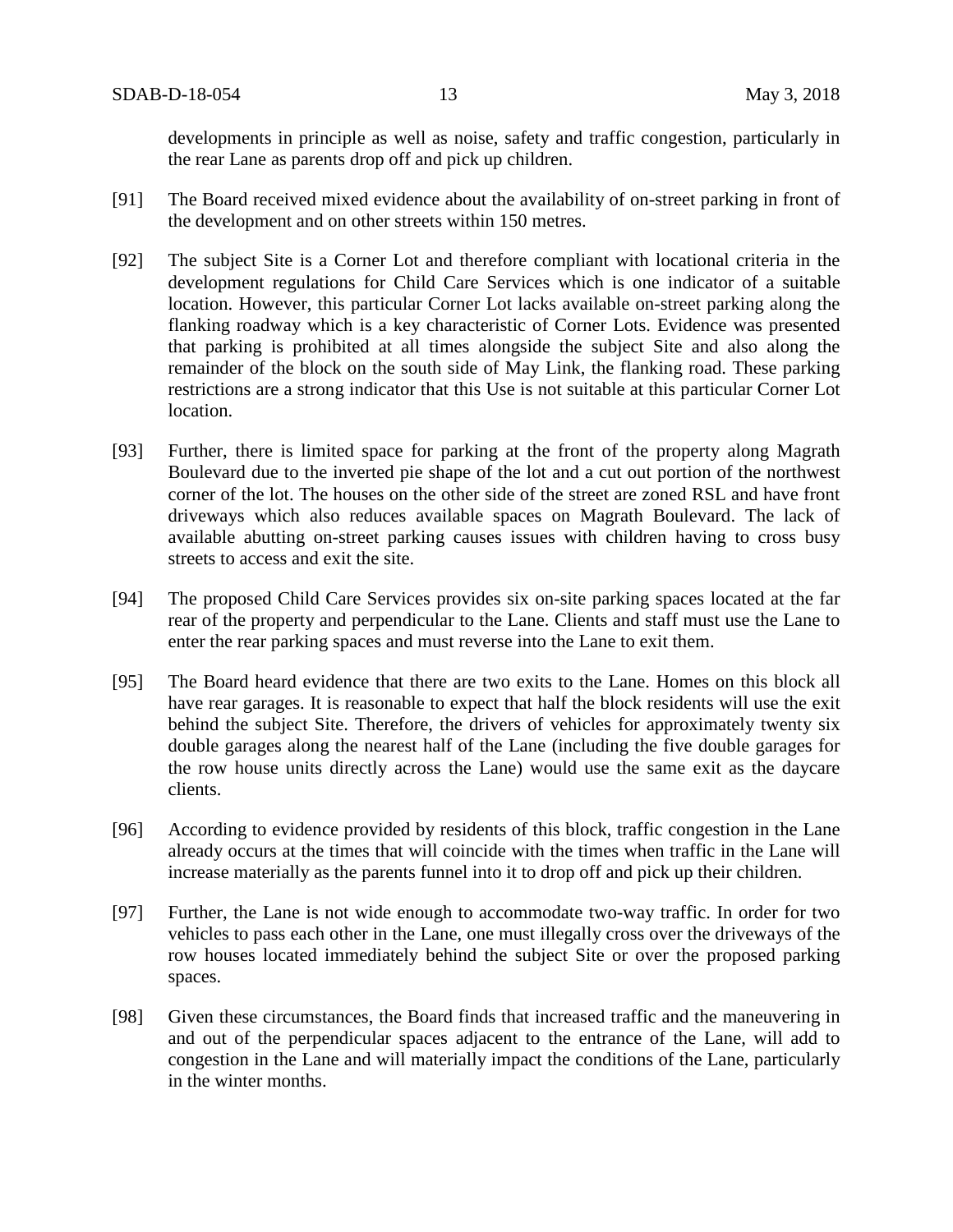developments in principle as well as noise, safety and traffic congestion, particularly in the rear Lane as parents drop off and pick up children.

- [91] The Board received mixed evidence about the availability of on-street parking in front of the development and on other streets within 150 metres.
- [92] The subject Site is a Corner Lot and therefore compliant with locational criteria in the development regulations for Child Care Services which is one indicator of a suitable location. However, this particular Corner Lot lacks available on-street parking along the flanking roadway which is a key characteristic of Corner Lots. Evidence was presented that parking is prohibited at all times alongside the subject Site and also along the remainder of the block on the south side of May Link, the flanking road. These parking restrictions are a strong indicator that this Use is not suitable at this particular Corner Lot location.
- [93] Further, there is limited space for parking at the front of the property along Magrath Boulevard due to the inverted pie shape of the lot and a cut out portion of the northwest corner of the lot. The houses on the other side of the street are zoned RSL and have front driveways which also reduces available spaces on Magrath Boulevard. The lack of available abutting on-street parking causes issues with children having to cross busy streets to access and exit the site.
- [94] The proposed Child Care Services provides six on-site parking spaces located at the far rear of the property and perpendicular to the Lane. Clients and staff must use the Lane to enter the rear parking spaces and must reverse into the Lane to exit them.
- [95] The Board heard evidence that there are two exits to the Lane. Homes on this block all have rear garages. It is reasonable to expect that half the block residents will use the exit behind the subject Site. Therefore, the drivers of vehicles for approximately twenty six double garages along the nearest half of the Lane (including the five double garages for the row house units directly across the Lane) would use the same exit as the daycare clients.
- [96] According to evidence provided by residents of this block, traffic congestion in the Lane already occurs at the times that will coincide with the times when traffic in the Lane will increase materially as the parents funnel into it to drop off and pick up their children.
- [97] Further, the Lane is not wide enough to accommodate two-way traffic. In order for two vehicles to pass each other in the Lane, one must illegally cross over the driveways of the row houses located immediately behind the subject Site or over the proposed parking spaces.
- [98] Given these circumstances, the Board finds that increased traffic and the maneuvering in and out of the perpendicular spaces adjacent to the entrance of the Lane, will add to congestion in the Lane and will materially impact the conditions of the Lane, particularly in the winter months.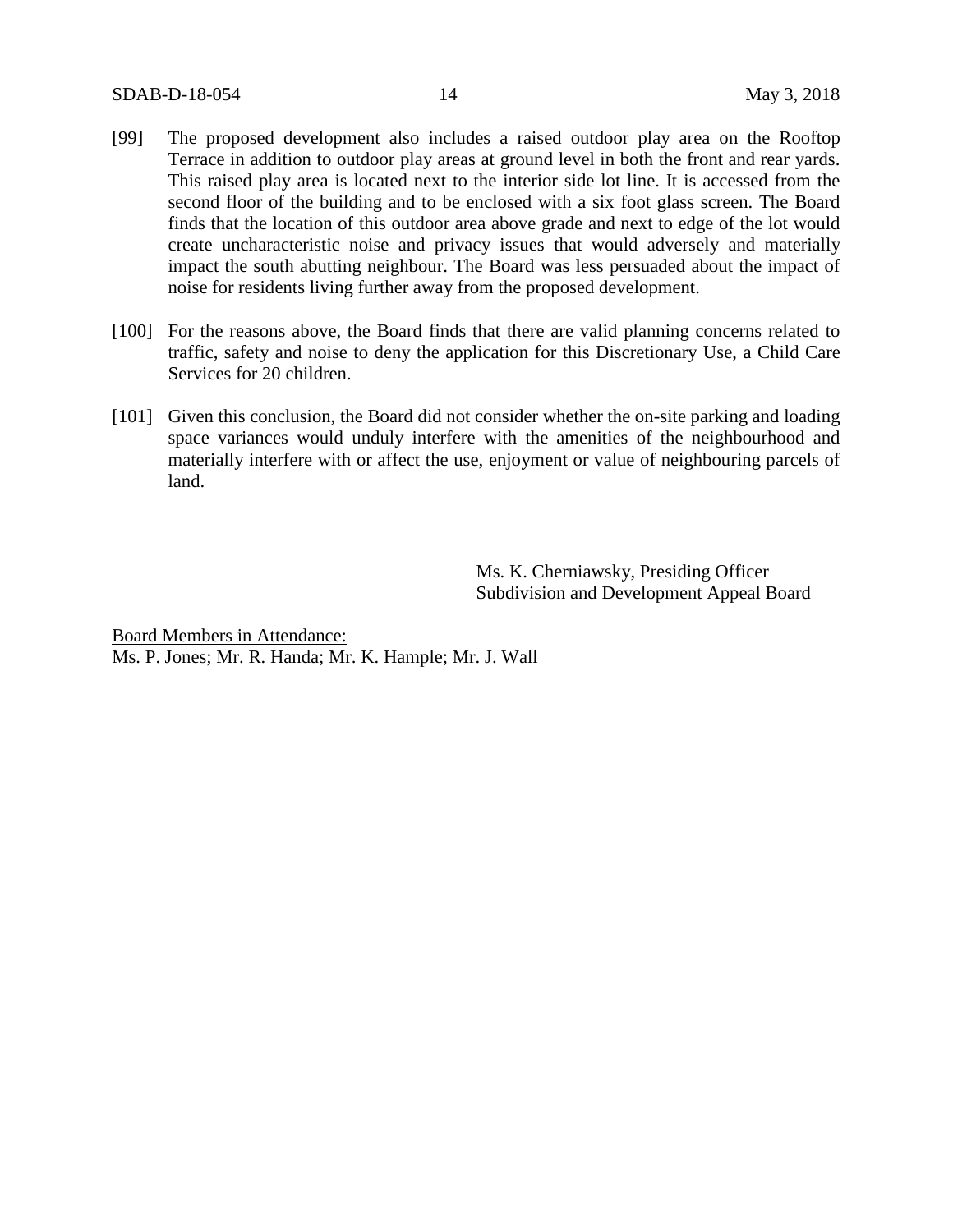- [99] The proposed development also includes a raised outdoor play area on the Rooftop Terrace in addition to outdoor play areas at ground level in both the front and rear yards. This raised play area is located next to the interior side lot line. It is accessed from the second floor of the building and to be enclosed with a six foot glass screen. The Board finds that the location of this outdoor area above grade and next to edge of the lot would create uncharacteristic noise and privacy issues that would adversely and materially impact the south abutting neighbour. The Board was less persuaded about the impact of noise for residents living further away from the proposed development.
- [100] For the reasons above, the Board finds that there are valid planning concerns related to traffic, safety and noise to deny the application for this Discretionary Use, a Child Care Services for 20 children.
- [101] Given this conclusion, the Board did not consider whether the on-site parking and loading space variances would unduly interfere with the amenities of the neighbourhood and materially interfere with or affect the use, enjoyment or value of neighbouring parcels of land.

Ms. K. Cherniawsky, Presiding Officer Subdivision and Development Appeal Board

Board Members in Attendance: Ms. P. Jones; Mr. R. Handa; Mr. K. Hample; Mr. J. Wall